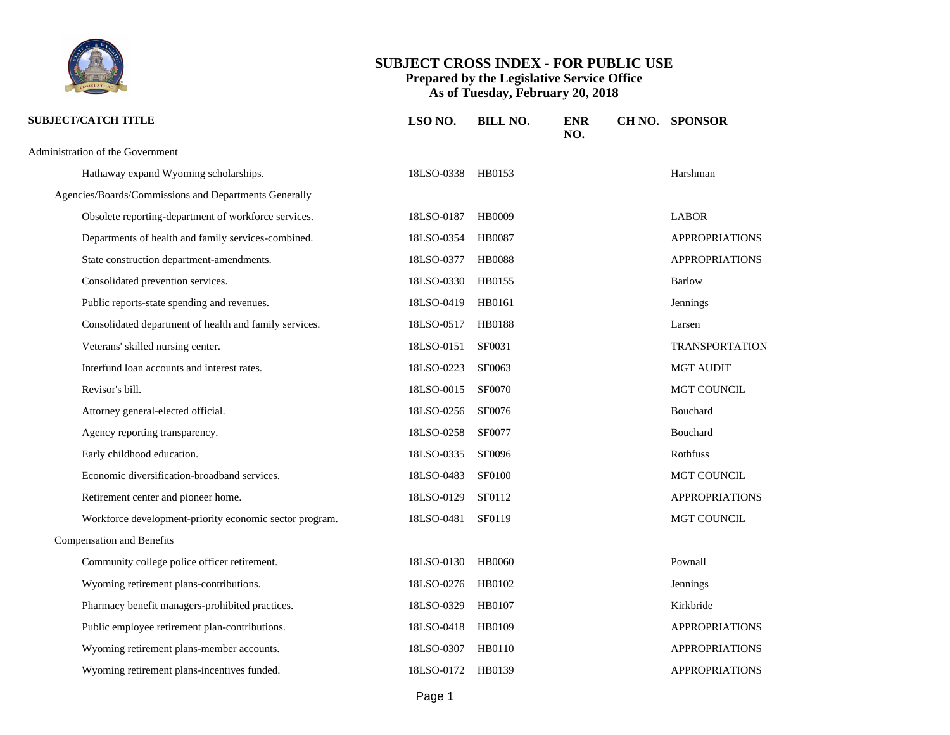

| <b>SUBJECT/CATCH TITLE</b>                              | LSO NO.           | <b>BILL NO.</b> | <b>ENR</b><br>NO. | CH NO. SPONSOR        |
|---------------------------------------------------------|-------------------|-----------------|-------------------|-----------------------|
| Administration of the Government                        |                   |                 |                   |                       |
| Hathaway expand Wyoming scholarships.                   | 18LSO-0338 HB0153 |                 |                   | Harshman              |
| Agencies/Boards/Commissions and Departments Generally   |                   |                 |                   |                       |
| Obsolete reporting-department of workforce services.    | 18LSO-0187        | <b>HB0009</b>   |                   | <b>LABOR</b>          |
| Departments of health and family services-combined.     | 18LSO-0354 HB0087 |                 |                   | <b>APPROPRIATIONS</b> |
| State construction department-amendments.               | 18LSO-0377 HB0088 |                 |                   | <b>APPROPRIATIONS</b> |
| Consolidated prevention services.                       | 18LSO-0330        | HB0155          |                   | <b>Barlow</b>         |
| Public reports-state spending and revenues.             | 18LSO-0419        | HB0161          |                   | Jennings              |
| Consolidated department of health and family services.  | 18LSO-0517 HB0188 |                 |                   | Larsen                |
| Veterans' skilled nursing center.                       | 18LSO-0151        | SF0031          |                   | <b>TRANSPORTATION</b> |
| Interfund loan accounts and interest rates.             | 18LSO-0223        | SF0063          |                   | <b>MGT AUDIT</b>      |
| Revisor's bill.                                         | 18LSO-0015        | <b>SF0070</b>   |                   | MGT COUNCIL           |
| Attorney general-elected official.                      | 18LSO-0256 SF0076 |                 |                   | Bouchard              |
| Agency reporting transparency.                          | 18LSO-0258        | <b>SF0077</b>   |                   | Bouchard              |
| Early childhood education.                              | 18LSO-0335 SF0096 |                 |                   | Rothfuss              |
| Economic diversification-broadband services.            | 18LSO-0483        | <b>SF0100</b>   |                   | MGT COUNCIL           |
| Retirement center and pioneer home.                     | 18LSO-0129        | SF0112          |                   | <b>APPROPRIATIONS</b> |
| Workforce development-priority economic sector program. | 18LSO-0481 SF0119 |                 |                   | MGT COUNCIL           |
| <b>Compensation and Benefits</b>                        |                   |                 |                   |                       |
| Community college police officer retirement.            | 18LSO-0130        | <b>HB0060</b>   |                   | Pownall               |
| Wyoming retirement plans-contributions.                 | 18LSO-0276 HB0102 |                 |                   | Jennings              |
| Pharmacy benefit managers-prohibited practices.         | 18LSO-0329 HB0107 |                 |                   | Kirkbride             |
| Public employee retirement plan-contributions.          | 18LSO-0418 HB0109 |                 |                   | <b>APPROPRIATIONS</b> |
| Wyoming retirement plans-member accounts.               | 18LSO-0307 HB0110 |                 |                   | <b>APPROPRIATIONS</b> |
| Wyoming retirement plans-incentives funded.             | 18LSO-0172 HB0139 |                 |                   | <b>APPROPRIATIONS</b> |
|                                                         |                   |                 |                   |                       |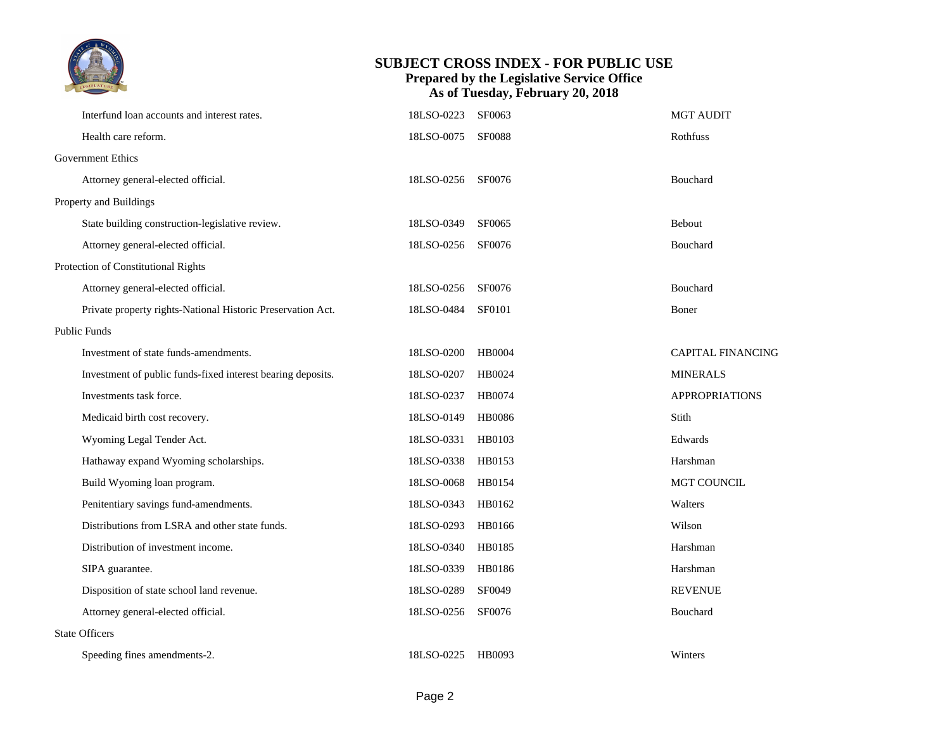

| Interfund loan accounts and interest rates.                 | 18LSO-0223        | SF0063        | <b>MGT AUDIT</b>         |
|-------------------------------------------------------------|-------------------|---------------|--------------------------|
| Health care reform.                                         | 18LSO-0075        | <b>SF0088</b> | Rothfuss                 |
| <b>Government Ethics</b>                                    |                   |               |                          |
| Attorney general-elected official.                          | 18LSO-0256 SF0076 |               | Bouchard                 |
| Property and Buildings                                      |                   |               |                          |
| State building construction-legislative review.             | 18LSO-0349        | SF0065        | Bebout                   |
| Attorney general-elected official.                          | 18LSO-0256        | SF0076        | Bouchard                 |
| Protection of Constitutional Rights                         |                   |               |                          |
| Attorney general-elected official.                          | 18LSO-0256        | SF0076        | Bouchard                 |
| Private property rights-National Historic Preservation Act. | 18LSO-0484        | <b>SF0101</b> | Boner                    |
| <b>Public Funds</b>                                         |                   |               |                          |
| Investment of state funds-amendments.                       | 18LSO-0200        | <b>HB0004</b> | <b>CAPITAL FINANCING</b> |
| Investment of public funds-fixed interest bearing deposits. | 18LSO-0207        | HB0024        | <b>MINERALS</b>          |
| Investments task force.                                     | 18LSO-0237        | HB0074        | <b>APPROPRIATIONS</b>    |
| Medicaid birth cost recovery.                               | 18LSO-0149        | HB0086        | Stith                    |
| Wyoming Legal Tender Act.                                   | 18LSO-0331 HB0103 |               | Edwards                  |
| Hathaway expand Wyoming scholarships.                       | 18LSO-0338        | HB0153        | Harshman                 |
| Build Wyoming loan program.                                 | 18LSO-0068        | HB0154        | MGT COUNCIL              |
| Penitentiary savings fund-amendments.                       | 18LSO-0343        | HB0162        | Walters                  |
| Distributions from LSRA and other state funds.              | 18LSO-0293        | HB0166        | Wilson                   |
| Distribution of investment income.                          | 18LSO-0340        | HB0185        | Harshman                 |
| SIPA guarantee.                                             | 18LSO-0339        | HB0186        | Harshman                 |
| Disposition of state school land revenue.                   | 18LSO-0289        | SF0049        | <b>REVENUE</b>           |
| Attorney general-elected official.                          | 18LSO-0256        | SF0076        | Bouchard                 |
| <b>State Officers</b>                                       |                   |               |                          |
| Speeding fines amendments-2.                                | 18LSO-0225 HB0093 |               | Winters                  |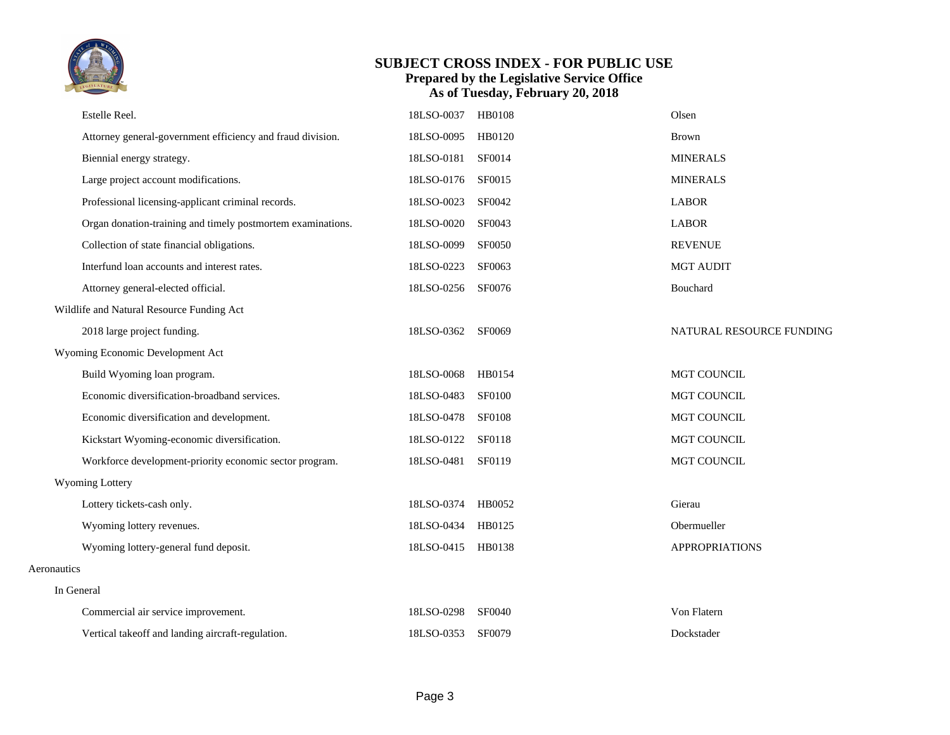

|             | Estelle Reel.                                               | 18LSO-0037 | <b>HB0108</b> | Olsen                    |
|-------------|-------------------------------------------------------------|------------|---------------|--------------------------|
|             | Attorney general-government efficiency and fraud division.  | 18LSO-0095 | HB0120        | <b>Brown</b>             |
|             | Biennial energy strategy.                                   | 18LSO-0181 | SF0014        | <b>MINERALS</b>          |
|             | Large project account modifications.                        | 18LSO-0176 | SF0015        | <b>MINERALS</b>          |
|             | Professional licensing-applicant criminal records.          | 18LSO-0023 | SF0042        | <b>LABOR</b>             |
|             | Organ donation-training and timely postmortem examinations. | 18LSO-0020 | SF0043        | <b>LABOR</b>             |
|             | Collection of state financial obligations.                  | 18LSO-0099 | <b>SF0050</b> | <b>REVENUE</b>           |
|             | Interfund loan accounts and interest rates.                 | 18LSO-0223 | SF0063        | <b>MGT AUDIT</b>         |
|             | Attorney general-elected official.                          | 18LSO-0256 | SF0076        | Bouchard                 |
|             | Wildlife and Natural Resource Funding Act                   |            |               |                          |
|             | 2018 large project funding.                                 | 18LSO-0362 | SF0069        | NATURAL RESOURCE FUNDING |
|             | Wyoming Economic Development Act                            |            |               |                          |
|             | Build Wyoming loan program.                                 | 18LSO-0068 | HB0154        | <b>MGT COUNCIL</b>       |
|             | Economic diversification-broadband services.                | 18LSO-0483 | <b>SF0100</b> | MGT COUNCIL              |
|             | Economic diversification and development.                   | 18LSO-0478 | <b>SF0108</b> | MGT COUNCIL              |
|             | Kickstart Wyoming-economic diversification.                 | 18LSO-0122 | SF0118        | MGT COUNCIL              |
|             | Workforce development-priority economic sector program.     | 18LSO-0481 | SF0119        | MGT COUNCIL              |
|             | Wyoming Lottery                                             |            |               |                          |
|             | Lottery tickets-cash only.                                  | 18LSO-0374 | HB0052        | Gierau                   |
|             | Wyoming lottery revenues.                                   | 18LSO-0434 | HB0125        | Obermueller              |
|             | Wyoming lottery-general fund deposit.                       | 18LSO-0415 | HB0138        | <b>APPROPRIATIONS</b>    |
| Aeronautics |                                                             |            |               |                          |
| In General  |                                                             |            |               |                          |
|             | Commercial air service improvement.                         | 18LSO-0298 | <b>SF0040</b> | Von Flatern              |
|             | Vertical takeoff and landing aircraft-regulation.           | 18LSO-0353 | <b>SF0079</b> | Dockstader               |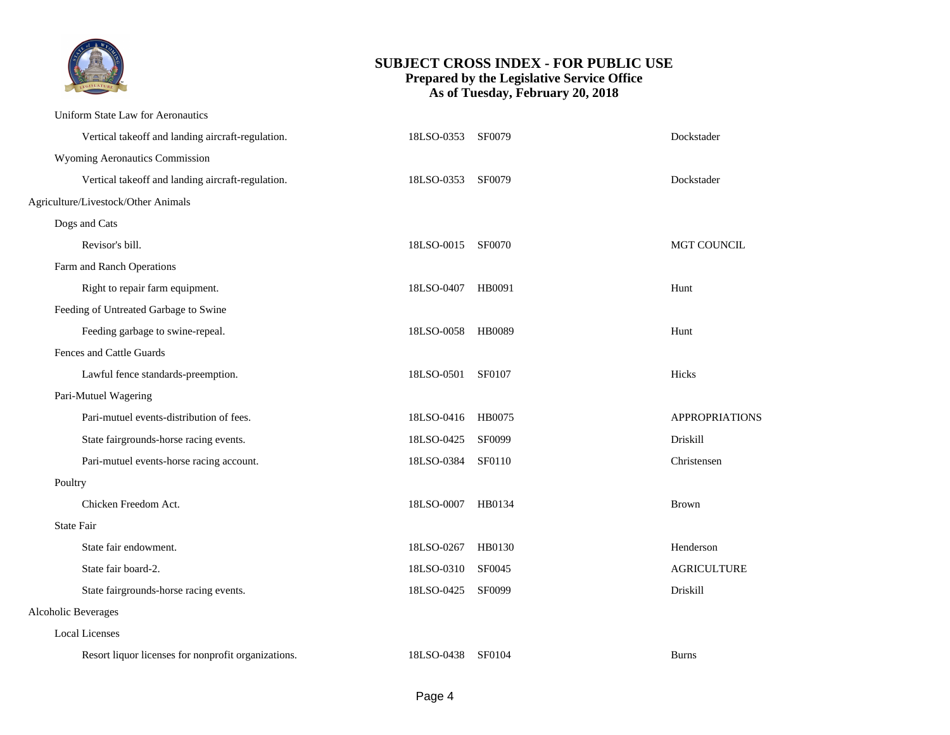

|                     | Uniform State Law for Aeronautics                   |                   |               |                    |
|---------------------|-----------------------------------------------------|-------------------|---------------|--------------------|
|                     | Vertical takeoff and landing aircraft-regulation.   | 18LSO-0353 SF0079 |               | Dockstader         |
|                     | Wyoming Aeronautics Commission                      |                   |               |                    |
|                     | Vertical takeoff and landing aircraft-regulation.   | 18LSO-0353 SF0079 |               | Dockstader         |
|                     | Agriculture/Livestock/Other Animals                 |                   |               |                    |
|                     | Dogs and Cats                                       |                   |               |                    |
|                     | Revisor's bill.                                     | 18LSO-0015        | <b>SF0070</b> | <b>MGT COUNCIL</b> |
|                     | Farm and Ranch Operations                           |                   |               |                    |
|                     | Right to repair farm equipment.                     | 18LSO-0407        | HB0091        | Hunt               |
|                     | Feeding of Untreated Garbage to Swine               |                   |               |                    |
|                     | Feeding garbage to swine-repeal.                    | 18LSO-0058 HB0089 |               | Hunt               |
|                     | Fences and Cattle Guards                            |                   |               |                    |
|                     | Lawful fence standards-preemption.                  | 18LSO-0501        | SF0107        | Hicks              |
|                     | Pari-Mutuel Wagering                                |                   |               |                    |
|                     | Pari-mutuel events-distribution of fees.            | 18LSO-0416 HB0075 |               | APPROPRIATIONS     |
|                     | State fairgrounds-horse racing events.              | 18LSO-0425        | <b>SF0099</b> | Driskill           |
|                     | Pari-mutuel events-horse racing account.            | 18LSO-0384        | SF0110        | Christensen        |
| Poultry             |                                                     |                   |               |                    |
|                     | Chicken Freedom Act.                                | 18LSO-0007        | HB0134        | <b>Brown</b>       |
|                     | <b>State Fair</b>                                   |                   |               |                    |
|                     | State fair endowment.                               | 18LSO-0267        | HB0130        | Henderson          |
|                     | State fair board-2.                                 | 18LSO-0310        | SF0045        | <b>AGRICULTURE</b> |
|                     | State fairgrounds-horse racing events.              | 18LSO-0425        | <b>SF0099</b> | Driskill           |
| Alcoholic Beverages |                                                     |                   |               |                    |
|                     | <b>Local Licenses</b>                               |                   |               |                    |
|                     | Resort liquor licenses for nonprofit organizations. | 18LSO-0438 SF0104 |               | <b>Burns</b>       |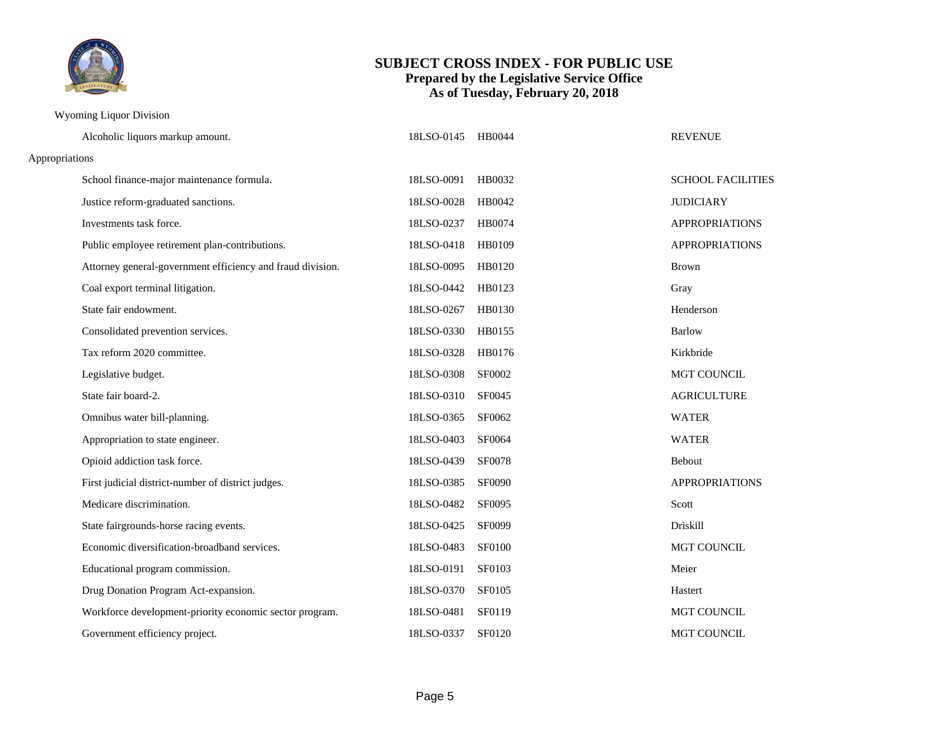

#### Wyoming Liquor Division

|                | Alcoholic liquors markup amount.                           | 18LSO-0145 | HB0044        | <b>REVENUE</b>           |  |
|----------------|------------------------------------------------------------|------------|---------------|--------------------------|--|
| Appropriations |                                                            |            |               |                          |  |
|                | School finance-major maintenance formula.                  | 18LSO-0091 | HB0032        | <b>SCHOOL FACILITIES</b> |  |
|                | Justice reform-graduated sanctions.                        | 18LSO-0028 | HB0042        | <b>JUDICIARY</b>         |  |
|                | Investments task force.                                    | 18LSO-0237 | HB0074        | <b>APPROPRIATIONS</b>    |  |
|                | Public employee retirement plan-contributions.             | 18LSO-0418 | HB0109        | <b>APPROPRIATIONS</b>    |  |
|                | Attorney general-government efficiency and fraud division. | 18LSO-0095 | HB0120        | <b>Brown</b>             |  |
|                | Coal export terminal litigation.                           | 18LSO-0442 | HB0123        | Gray                     |  |
|                | State fair endowment.                                      | 18LSO-0267 | HB0130        | Henderson                |  |
|                | Consolidated prevention services.                          | 18LSO-0330 | HB0155        | <b>Barlow</b>            |  |
|                | Tax reform 2020 committee.                                 | 18LSO-0328 | HB0176        | Kirkbride                |  |
|                | Legislative budget.                                        | 18LSO-0308 | SF0002        | <b>MGT COUNCIL</b>       |  |
|                | State fair board-2.                                        | 18LSO-0310 | SF0045        | <b>AGRICULTURE</b>       |  |
|                | Omnibus water bill-planning.                               | 18LSO-0365 | SF0062        | <b>WATER</b>             |  |
|                | Appropriation to state engineer.                           | 18LSO-0403 | SF0064        | <b>WATER</b>             |  |
|                | Opioid addiction task force.                               | 18LSO-0439 | SF0078        | <b>Bebout</b>            |  |
|                | First judicial district-number of district judges.         | 18LSO-0385 | SF0090        | <b>APPROPRIATIONS</b>    |  |
|                | Medicare discrimination.                                   | 18LSO-0482 | SF0095        | Scott                    |  |
|                | State fairgrounds-horse racing events.                     | 18LSO-0425 | SF0099        | Driskill                 |  |
|                | Economic diversification-broadband services.               | 18LSO-0483 | <b>SF0100</b> | MGT COUNCIL              |  |
|                | Educational program commission.                            | 18LSO-0191 | SF0103        | Meier                    |  |
|                | Drug Donation Program Act-expansion.                       | 18LSO-0370 | SF0105        | Hastert                  |  |
|                | Workforce development-priority economic sector program.    | 18LSO-0481 | SF0119        | MGT COUNCIL              |  |
|                | Government efficiency project.                             | 18LSO-0337 | SF0120        | <b>MGT COUNCIL</b>       |  |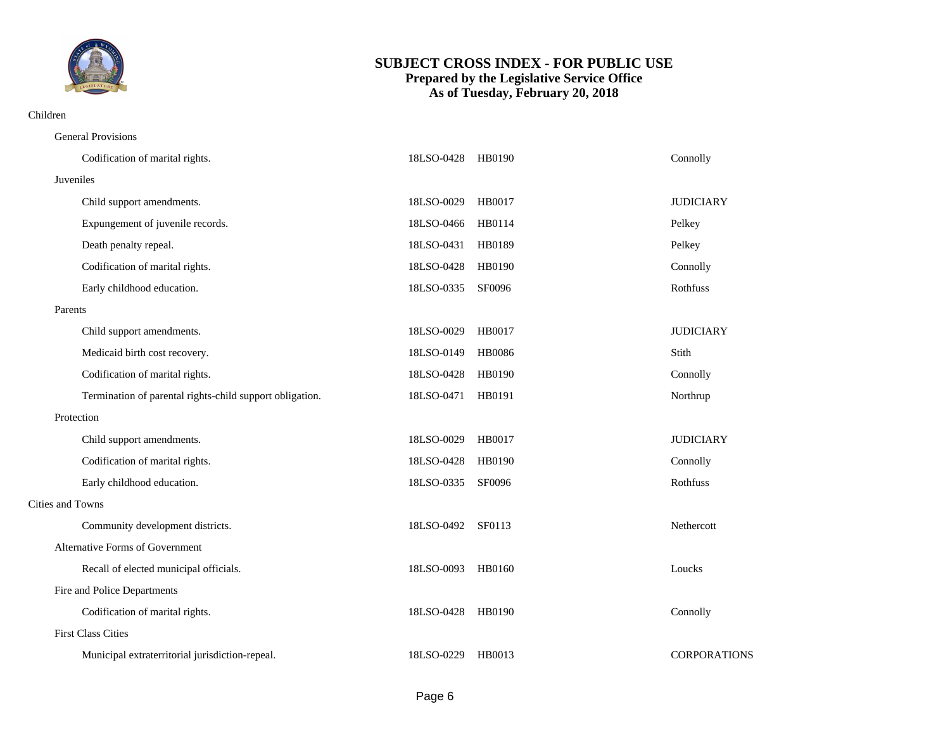

#### Children

| <b>General Provisions</b>                                |                   |               |                     |
|----------------------------------------------------------|-------------------|---------------|---------------------|
| Codification of marital rights.                          | 18LSO-0428 HB0190 |               | Connolly            |
| Juveniles                                                |                   |               |                     |
| Child support amendments.                                | 18LSO-0029        | HB0017        | <b>JUDICIARY</b>    |
| Expungement of juvenile records.                         | 18LSO-0466        | HB0114        | Pelkey              |
| Death penalty repeal.                                    | 18LSO-0431        | HB0189        | Pelkey              |
| Codification of marital rights.                          | 18LSO-0428        | HB0190        | Connolly            |
| Early childhood education.                               | 18LSO-0335        | SF0096        | Rothfuss            |
| Parents                                                  |                   |               |                     |
| Child support amendments.                                | 18LSO-0029        | HB0017        | <b>JUDICIARY</b>    |
| Medicaid birth cost recovery.                            | 18LSO-0149        | <b>HB0086</b> | Stith               |
| Codification of marital rights.                          | 18LSO-0428        | HB0190        | Connolly            |
| Termination of parental rights-child support obligation. | 18LSO-0471        | HB0191        | Northrup            |
| Protection                                               |                   |               |                     |
| Child support amendments.                                | 18LSO-0029 HB0017 |               | <b>JUDICIARY</b>    |
| Codification of marital rights.                          | 18LSO-0428        | HB0190        | Connolly            |
| Early childhood education.                               | 18LSO-0335        | SF0096        | Rothfuss            |
| Cities and Towns                                         |                   |               |                     |
| Community development districts.                         | 18LSO-0492 SF0113 |               | Nethercott          |
| Alternative Forms of Government                          |                   |               |                     |
| Recall of elected municipal officials.                   | 18LSO-0093        | HB0160        | Loucks              |
| Fire and Police Departments                              |                   |               |                     |
| Codification of marital rights.                          | 18LSO-0428        | HB0190        | Connolly            |
| <b>First Class Cities</b>                                |                   |               |                     |
| Municipal extraterritorial jurisdiction-repeal.          | 18LSO-0229        | HB0013        | <b>CORPORATIONS</b> |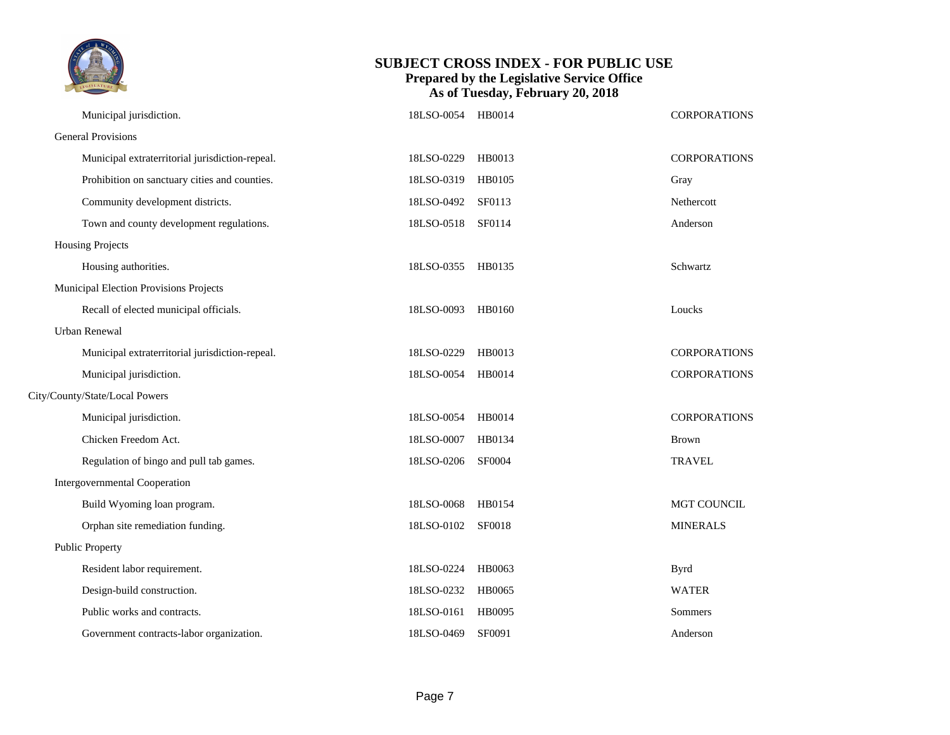| TM<br>LEGISLATURE |
|-------------------|
|                   |

| Municipal jurisdiction.                         | 18LSO-0054        | HB0014        | <b>CORPORATIONS</b> |
|-------------------------------------------------|-------------------|---------------|---------------------|
| <b>General Provisions</b>                       |                   |               |                     |
| Municipal extraterritorial jurisdiction-repeal. | 18LSO-0229        | HB0013        | <b>CORPORATIONS</b> |
| Prohibition on sanctuary cities and counties.   | 18LSO-0319        | HB0105        | Gray                |
| Community development districts.                | 18LSO-0492        | SF0113        | Nethercott          |
| Town and county development regulations.        | 18LSO-0518        | SF0114        | Anderson            |
| Housing Projects                                |                   |               |                     |
| Housing authorities.                            | 18LSO-0355 HB0135 |               | Schwartz            |
| Municipal Election Provisions Projects          |                   |               |                     |
| Recall of elected municipal officials.          | 18LSO-0093        | HB0160        | Loucks              |
| Urban Renewal                                   |                   |               |                     |
| Municipal extraterritorial jurisdiction-repeal. | 18LSO-0229        | HB0013        | <b>CORPORATIONS</b> |
| Municipal jurisdiction.                         | 18LSO-0054 HB0014 |               | <b>CORPORATIONS</b> |
| City/County/State/Local Powers                  |                   |               |                     |
| Municipal jurisdiction.                         | 18LSO-0054 HB0014 |               | <b>CORPORATIONS</b> |
| Chicken Freedom Act.                            | 18LSO-0007        | HB0134        | <b>Brown</b>        |
| Regulation of bingo and pull tab games.         | 18LSO-0206 SF0004 |               | <b>TRAVEL</b>       |
| <b>Intergovernmental Cooperation</b>            |                   |               |                     |
| Build Wyoming loan program.                     | 18LSO-0068        | HB0154        | MGT COUNCIL         |
| Orphan site remediation funding.                | 18LSO-0102        | <b>SF0018</b> | <b>MINERALS</b>     |
| <b>Public Property</b>                          |                   |               |                     |
| Resident labor requirement.                     | 18LSO-0224        | HB0063        | <b>Byrd</b>         |
| Design-build construction.                      | 18LSO-0232        | HB0065        | <b>WATER</b>        |
| Public works and contracts.                     | 18LSO-0161        | HB0095        | Sommers             |
| Government contracts-labor organization.        | 18LSO-0469        | SF0091        | Anderson            |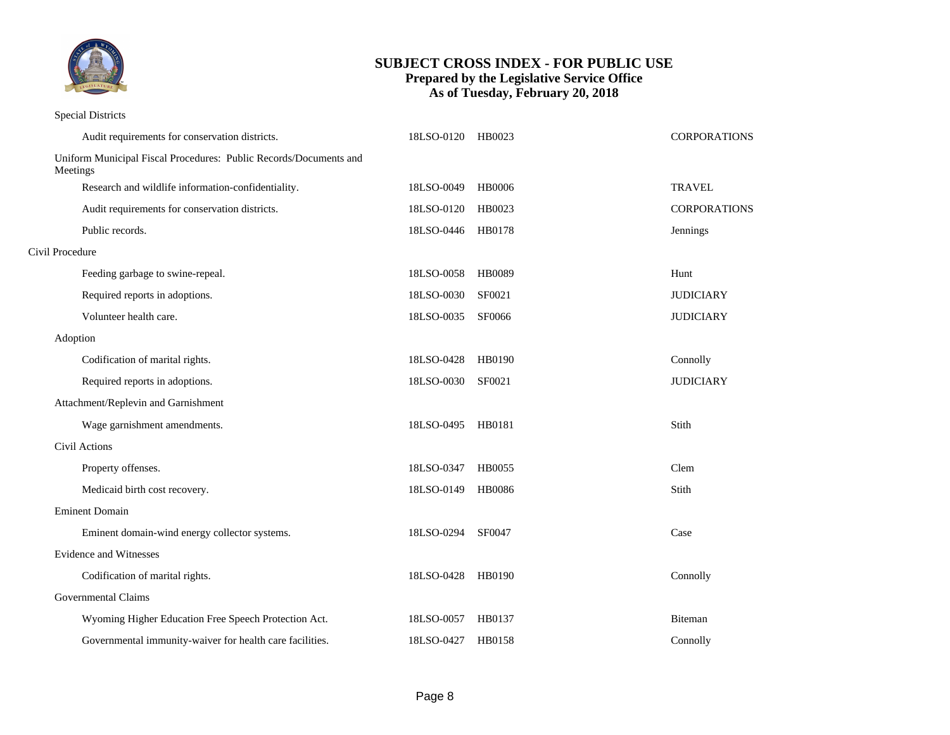

#### Special Districts

|                 | Audit requirements for conservation districts.                    | 18LSO-0120 | HB0023        | CORPORATIONS        |
|-----------------|-------------------------------------------------------------------|------------|---------------|---------------------|
| Meetings        | Uniform Municipal Fiscal Procedures: Public Records/Documents and |            |               |                     |
|                 | Research and wildlife information-confidentiality.                | 18LSO-0049 | <b>HB0006</b> | <b>TRAVEL</b>       |
|                 | Audit requirements for conservation districts.                    | 18LSO-0120 | HB0023        | <b>CORPORATIONS</b> |
|                 | Public records.                                                   | 18LSO-0446 | HB0178        | Jennings            |
| Civil Procedure |                                                                   |            |               |                     |
|                 | Feeding garbage to swine-repeal.                                  | 18LSO-0058 | <b>HB0089</b> | Hunt                |
|                 | Required reports in adoptions.                                    | 18LSO-0030 | SF0021        | <b>JUDICIARY</b>    |
|                 | Volunteer health care.                                            | 18LSO-0035 | <b>SF0066</b> | <b>JUDICIARY</b>    |
| Adoption        |                                                                   |            |               |                     |
|                 | Codification of marital rights.                                   | 18LSO-0428 | HB0190        | Connolly            |
|                 | Required reports in adoptions.                                    | 18LSO-0030 | SF0021        | <b>JUDICIARY</b>    |
|                 | Attachment/Replevin and Garnishment                               |            |               |                     |
|                 | Wage garnishment amendments.                                      | 18LSO-0495 | HB0181        | Stith               |
|                 | Civil Actions                                                     |            |               |                     |
|                 | Property offenses.                                                | 18LSO-0347 | HB0055        | Clem                |
|                 | Medicaid birth cost recovery.                                     | 18LSO-0149 | <b>HB0086</b> | Stith               |
|                 | <b>Eminent Domain</b>                                             |            |               |                     |
|                 | Eminent domain-wind energy collector systems.                     | 18LSO-0294 | SF0047        | Case                |
|                 | <b>Evidence and Witnesses</b>                                     |            |               |                     |
|                 | Codification of marital rights.                                   | 18LSO-0428 | HB0190        | Connolly            |
|                 | Governmental Claims                                               |            |               |                     |
|                 | Wyoming Higher Education Free Speech Protection Act.              | 18LSO-0057 | HB0137        | Biteman             |
|                 | Governmental immunity-waiver for health care facilities.          | 18LSO-0427 | HB0158        | Connolly            |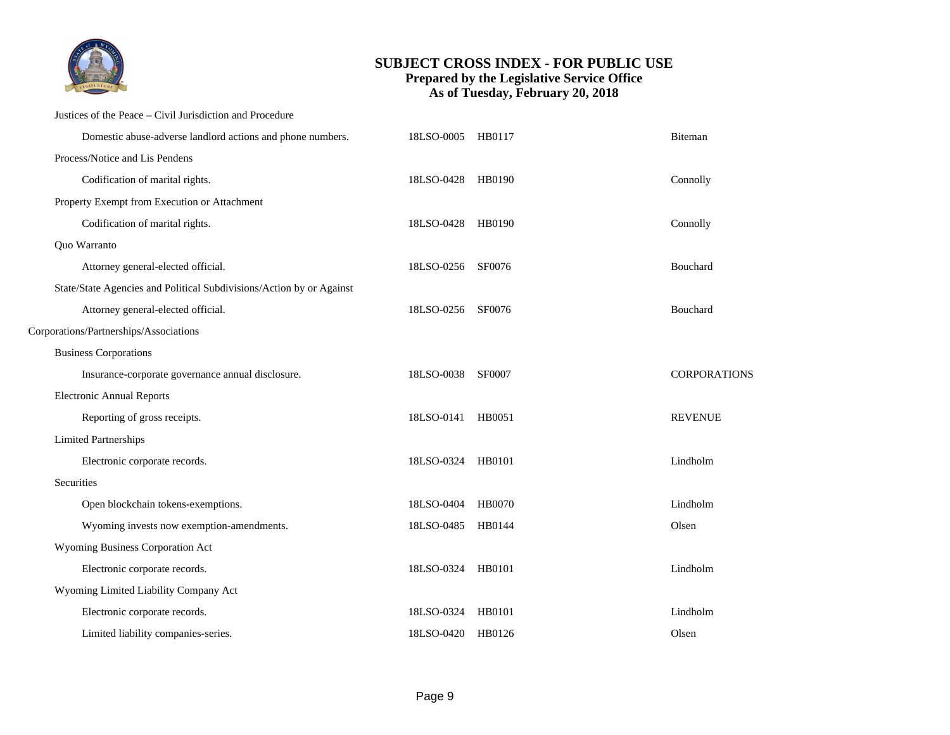

#### Justices of the Peace – Civil Jurisdiction and Procedure

| Domestic abuse-adverse landlord actions and phone numbers.           | 18LSO-0005 HB0117 |               | Biteman             |
|----------------------------------------------------------------------|-------------------|---------------|---------------------|
| Process/Notice and Lis Pendens                                       |                   |               |                     |
| Codification of marital rights.                                      | 18LSO-0428 HB0190 |               | Connolly            |
| Property Exempt from Execution or Attachment                         |                   |               |                     |
| Codification of marital rights.                                      | 18LSO-0428 HB0190 |               | Connolly            |
| Quo Warranto                                                         |                   |               |                     |
| Attorney general-elected official.                                   | 18LSO-0256 SF0076 |               | Bouchard            |
| State/State Agencies and Political Subdivisions/Action by or Against |                   |               |                     |
| Attorney general-elected official.                                   | 18LSO-0256 SF0076 |               | Bouchard            |
| Corporations/Partnerships/Associations                               |                   |               |                     |
| <b>Business Corporations</b>                                         |                   |               |                     |
| Insurance-corporate governance annual disclosure.                    | 18LSO-0038 SF0007 |               | <b>CORPORATIONS</b> |
| <b>Electronic Annual Reports</b>                                     |                   |               |                     |
| Reporting of gross receipts.                                         | 18LSO-0141 HB0051 |               | <b>REVENUE</b>      |
| <b>Limited Partnerships</b>                                          |                   |               |                     |
| Electronic corporate records.                                        | 18LSO-0324        | HB0101        | Lindholm            |
| Securities                                                           |                   |               |                     |
| Open blockchain tokens-exemptions.                                   | 18LSO-0404        | <b>HB0070</b> | Lindholm            |
| Wyoming invests now exemption-amendments.                            | 18LSO-0485 HB0144 |               | Olsen               |
| Wyoming Business Corporation Act                                     |                   |               |                     |
| Electronic corporate records.                                        | 18LSO-0324 HB0101 |               | Lindholm            |
| Wyoming Limited Liability Company Act                                |                   |               |                     |
| Electronic corporate records.                                        | 18LSO-0324        | HB0101        | Lindholm            |
| Limited liability companies-series.                                  | 18LSO-0420 HB0126 |               | Olsen               |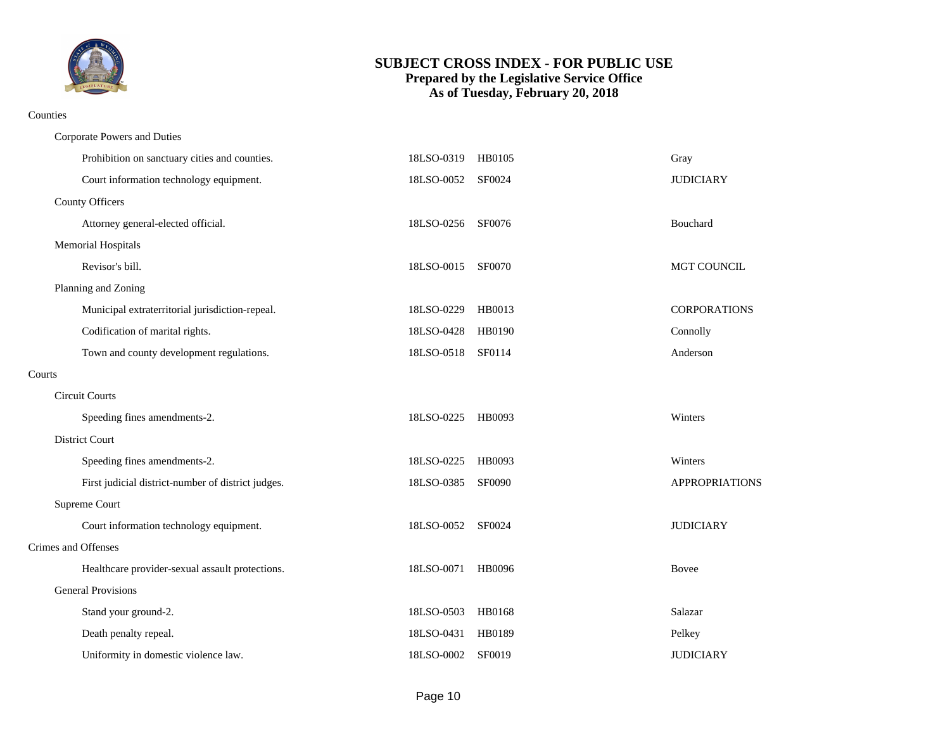

#### Counties

|        | Corporate Powers and Duties                        |                   |               |                     |
|--------|----------------------------------------------------|-------------------|---------------|---------------------|
|        | Prohibition on sanctuary cities and counties.      | 18LSO-0319        | HB0105        | Gray                |
|        | Court information technology equipment.            | 18LSO-0052        | SF0024        | <b>JUDICIARY</b>    |
|        | <b>County Officers</b>                             |                   |               |                     |
|        | Attorney general-elected official.                 | 18LSO-0256        | SF0076        | Bouchard            |
|        | Memorial Hospitals                                 |                   |               |                     |
|        | Revisor's bill.                                    | 18LSO-0015        | <b>SF0070</b> | MGT COUNCIL         |
|        | Planning and Zoning                                |                   |               |                     |
|        | Municipal extraterritorial jurisdiction-repeal.    | 18LSO-0229        | HB0013        | <b>CORPORATIONS</b> |
|        | Codification of marital rights.                    | 18LSO-0428        | HB0190        | Connolly            |
|        | Town and county development regulations.           | 18LSO-0518 SF0114 |               | Anderson            |
| Courts |                                                    |                   |               |                     |
|        | <b>Circuit Courts</b>                              |                   |               |                     |
|        | Speeding fines amendments-2.                       | 18LSO-0225        | HB0093        | Winters             |
|        | District Court                                     |                   |               |                     |
|        | Speeding fines amendments-2.                       | 18LSO-0225        | HB0093        | Winters             |
|        | First judicial district-number of district judges. | 18LSO-0385        | <b>SF0090</b> | APPROPRIATIONS      |
|        | Supreme Court                                      |                   |               |                     |
|        | Court information technology equipment.            | 18LSO-0052        | SF0024        | <b>JUDICIARY</b>    |
|        | Crimes and Offenses                                |                   |               |                     |
|        | Healthcare provider-sexual assault protections.    | 18LSO-0071        | HB0096        | <b>Bovee</b>        |
|        | <b>General Provisions</b>                          |                   |               |                     |
|        | Stand your ground-2.                               | 18LSO-0503        | HB0168        | Salazar             |
|        | Death penalty repeal.                              | 18LSO-0431        | HB0189        | Pelkey              |
|        | Uniformity in domestic violence law.               | 18LSO-0002        | SF0019        | <b>JUDICIARY</b>    |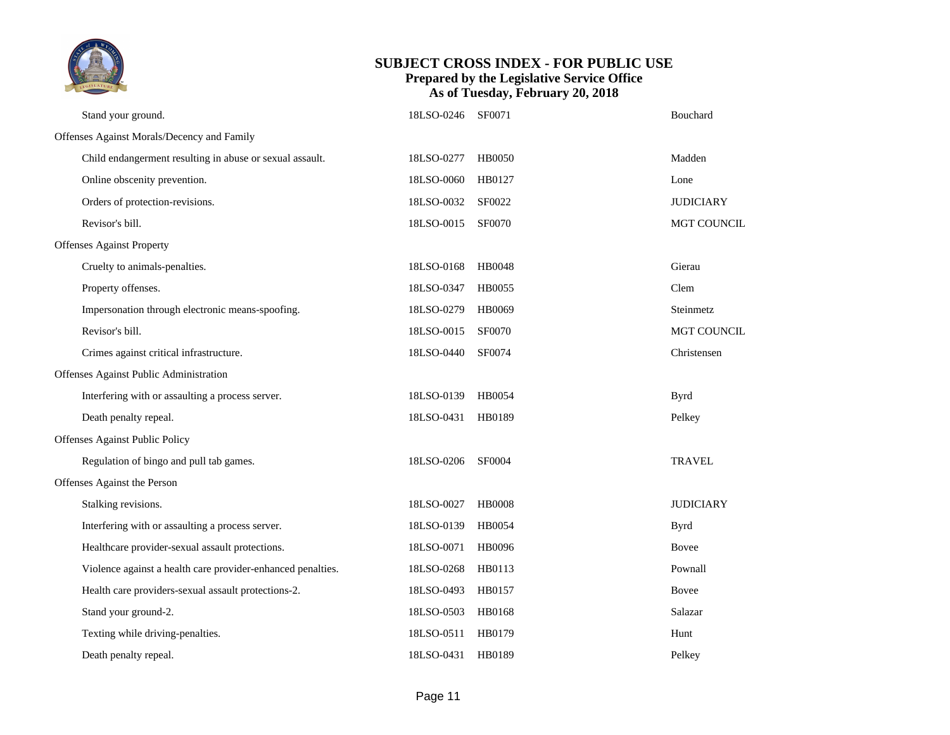

|                                        | Stand your ground.                                          | 18LSO-0246 SF0071 |               | <b>Bouchard</b>    |
|----------------------------------------|-------------------------------------------------------------|-------------------|---------------|--------------------|
|                                        | Offenses Against Morals/Decency and Family                  |                   |               |                    |
|                                        | Child endangerment resulting in abuse or sexual assault.    | 18LSO-0277        | <b>HB0050</b> | Madden             |
|                                        | Online obscenity prevention.                                | 18LSO-0060        | HB0127        | Lone               |
|                                        | Orders of protection-revisions.                             | 18LSO-0032        | SF0022        | <b>JUDICIARY</b>   |
|                                        | Revisor's bill.                                             | 18LSO-0015        | SF0070        | <b>MGT COUNCIL</b> |
|                                        | <b>Offenses Against Property</b>                            |                   |               |                    |
|                                        | Cruelty to animals-penalties.                               | 18LSO-0168        | HB0048        | Gierau             |
|                                        | Property offenses.                                          | 18LSO-0347        | HB0055        | Clem               |
|                                        | Impersonation through electronic means-spoofing.            | 18LSO-0279        | HB0069        | Steinmetz          |
|                                        | Revisor's bill.                                             | 18LSO-0015        | <b>SF0070</b> | <b>MGT COUNCIL</b> |
|                                        | Crimes against critical infrastructure.                     | 18LSO-0440        | <b>SF0074</b> | Christensen        |
| Offenses Against Public Administration |                                                             |                   |               |                    |
|                                        | Interfering with or assaulting a process server.            | 18LSO-0139        | HB0054        | <b>Byrd</b>        |
|                                        | Death penalty repeal.                                       | 18LSO-0431        | HB0189        | Pelkey             |
|                                        | Offenses Against Public Policy                              |                   |               |                    |
|                                        | Regulation of bingo and pull tab games.                     | 18LSO-0206 SF0004 |               | <b>TRAVEL</b>      |
|                                        | Offenses Against the Person                                 |                   |               |                    |
|                                        | Stalking revisions.                                         | 18LSO-0027        | <b>HB0008</b> | <b>JUDICIARY</b>   |
|                                        | Interfering with or assaulting a process server.            | 18LSO-0139        | HB0054        | <b>Byrd</b>        |
|                                        | Healthcare provider-sexual assault protections.             | 18LSO-0071        | HB0096        | Bovee              |
|                                        | Violence against a health care provider-enhanced penalties. | 18LSO-0268        | HB0113        | Pownall            |
|                                        | Health care providers-sexual assault protections-2.         | 18LSO-0493        | HB0157        | Bovee              |
|                                        | Stand your ground-2.                                        | 18LSO-0503        | HB0168        | Salazar            |
|                                        | Texting while driving-penalties.                            | 18LSO-0511        | HB0179        | Hunt               |
|                                        | Death penalty repeal.                                       | 18LSO-0431        | HB0189        | Pelkey             |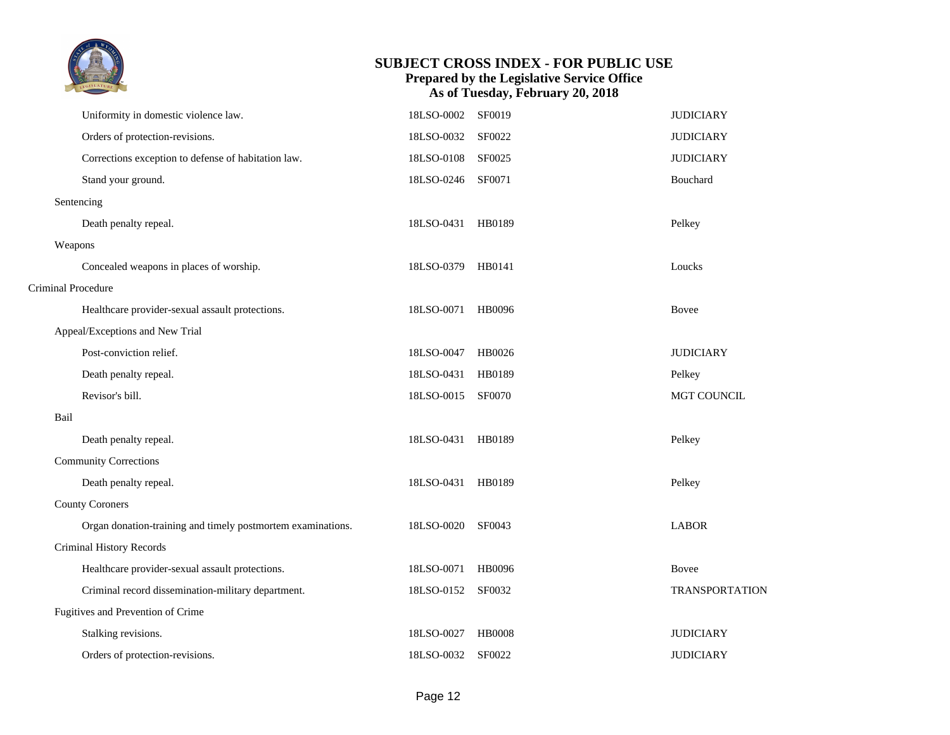

|                    | Uniformity in domestic violence law.                        | 18LSO-0002        | SF0019        | <b>JUDICIARY</b>      |
|--------------------|-------------------------------------------------------------|-------------------|---------------|-----------------------|
|                    | Orders of protection-revisions.                             | 18LSO-0032        | SF0022        | <b>JUDICIARY</b>      |
|                    | Corrections exception to defense of habitation law.         | 18LSO-0108        | SF0025        | <b>JUDICIARY</b>      |
|                    | Stand your ground.                                          | 18LSO-0246        | SF0071        | Bouchard              |
|                    | Sentencing                                                  |                   |               |                       |
|                    | Death penalty repeal.                                       | 18LSO-0431 HB0189 |               | Pelkey                |
|                    | Weapons                                                     |                   |               |                       |
|                    | Concealed weapons in places of worship.                     | 18LSO-0379 HB0141 |               | Loucks                |
| Criminal Procedure |                                                             |                   |               |                       |
|                    | Healthcare provider-sexual assault protections.             | 18LSO-0071        | HB0096        | <b>Bovee</b>          |
|                    | Appeal/Exceptions and New Trial                             |                   |               |                       |
|                    | Post-conviction relief.                                     | 18LSO-0047        | HB0026        | <b>JUDICIARY</b>      |
|                    | Death penalty repeal.                                       | 18LSO-0431 HB0189 |               | Pelkey                |
|                    | Revisor's bill.                                             | 18LSO-0015 SF0070 |               | MGT COUNCIL           |
| Bail               |                                                             |                   |               |                       |
|                    | Death penalty repeal.                                       | 18LSO-0431 HB0189 |               | Pelkey                |
|                    | <b>Community Corrections</b>                                |                   |               |                       |
|                    | Death penalty repeal.                                       | 18LSO-0431        | HB0189        | Pelkey                |
|                    | <b>County Coroners</b>                                      |                   |               |                       |
|                    | Organ donation-training and timely postmortem examinations. | 18LSO-0020        | SF0043        | <b>LABOR</b>          |
|                    | Criminal History Records                                    |                   |               |                       |
|                    | Healthcare provider-sexual assault protections.             | 18LSO-0071        | HB0096        | Bovee                 |
|                    | Criminal record dissemination-military department.          | 18LSO-0152        | SF0032        | <b>TRANSPORTATION</b> |
|                    | Fugitives and Prevention of Crime                           |                   |               |                       |
|                    | Stalking revisions.                                         | 18LSO-0027        | <b>HB0008</b> | <b>JUDICIARY</b>      |
|                    | Orders of protection-revisions.                             | 18LSO-0032        | <b>SF0022</b> | <b>JUDICIARY</b>      |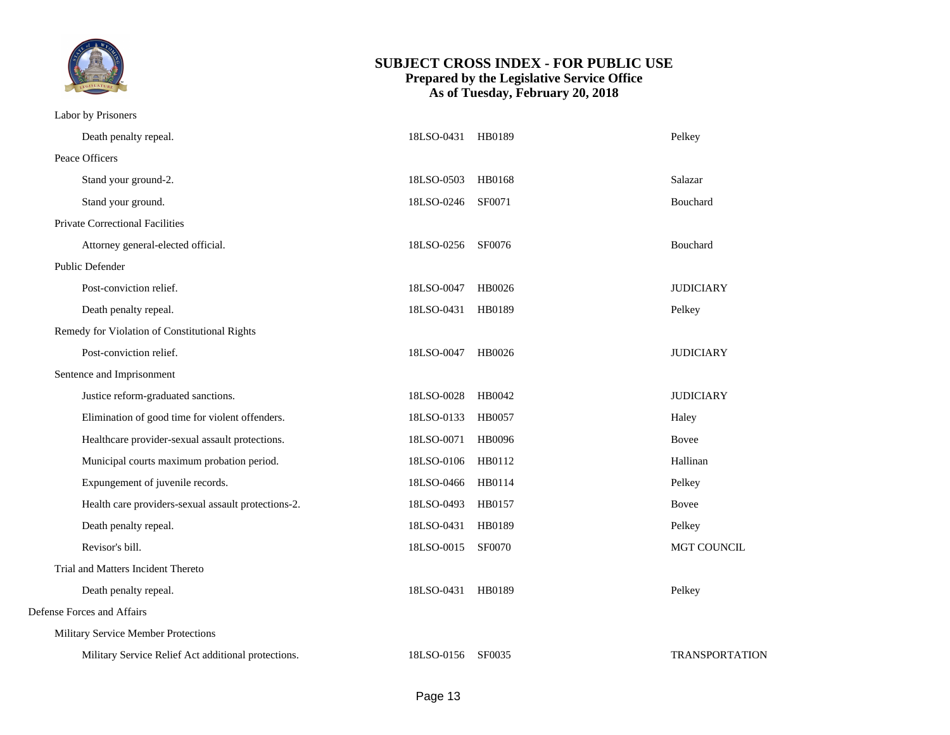

Labor by Prisoners

| Peace Officers<br>Stand your ground-2.<br>18LSO-0503<br>HB0168<br>Salazar<br>Stand your ground.<br>18LSO-0246<br>SF0071<br>Bouchard<br>Private Correctional Facilities<br>Attorney general-elected official.<br>18LSO-0256<br>SF0076<br>Bouchard<br>Public Defender<br>Post-conviction relief.<br>18LSO-0047<br>HB0026<br><b>JUDICIARY</b><br>Death penalty repeal.<br>18LSO-0431 HB0189<br>Pelkey<br>Remedy for Violation of Constitutional Rights<br>Post-conviction relief.<br>18LSO-0047<br>HB0026<br><b>JUDICIARY</b><br>Sentence and Imprisonment<br>Justice reform-graduated sanctions.<br>18LSO-0028<br>HB0042<br><b>JUDICIARY</b><br>Elimination of good time for violent offenders.<br>18LSO-0133<br><b>HB0057</b><br>Haley<br>Healthcare provider-sexual assault protections.<br>18LSO-0071<br>HB0096<br>Bovee<br>Municipal courts maximum probation period.<br>18LSO-0106<br>HB0112<br>Hallinan<br>Expungement of juvenile records.<br>18LSO-0466 HB0114<br>Pelkey<br>Health care providers-sexual assault protections-2.<br>18LSO-0493<br>HB0157<br>Bovee<br>Death penalty repeal.<br>18LSO-0431<br>HB0189<br>Pelkey<br>Revisor's bill.<br>18LSO-0015<br><b>SF0070</b><br>Trial and Matters Incident Thereto<br>Death penalty repeal.<br>18LSO-0431<br>HB0189<br>Pelkey<br>Defense Forces and Affairs<br>Military Service Member Protections<br>Military Service Relief Act additional protections.<br>18LSO-0156<br>SF0035 | Death penalty repeal. | 18LSO-0431 HB0189 | Pelkey         |
|------------------------------------------------------------------------------------------------------------------------------------------------------------------------------------------------------------------------------------------------------------------------------------------------------------------------------------------------------------------------------------------------------------------------------------------------------------------------------------------------------------------------------------------------------------------------------------------------------------------------------------------------------------------------------------------------------------------------------------------------------------------------------------------------------------------------------------------------------------------------------------------------------------------------------------------------------------------------------------------------------------------------------------------------------------------------------------------------------------------------------------------------------------------------------------------------------------------------------------------------------------------------------------------------------------------------------------------------------------------------------------------------------------------------------------------|-----------------------|-------------------|----------------|
|                                                                                                                                                                                                                                                                                                                                                                                                                                                                                                                                                                                                                                                                                                                                                                                                                                                                                                                                                                                                                                                                                                                                                                                                                                                                                                                                                                                                                                          |                       |                   |                |
|                                                                                                                                                                                                                                                                                                                                                                                                                                                                                                                                                                                                                                                                                                                                                                                                                                                                                                                                                                                                                                                                                                                                                                                                                                                                                                                                                                                                                                          |                       |                   |                |
|                                                                                                                                                                                                                                                                                                                                                                                                                                                                                                                                                                                                                                                                                                                                                                                                                                                                                                                                                                                                                                                                                                                                                                                                                                                                                                                                                                                                                                          |                       |                   |                |
|                                                                                                                                                                                                                                                                                                                                                                                                                                                                                                                                                                                                                                                                                                                                                                                                                                                                                                                                                                                                                                                                                                                                                                                                                                                                                                                                                                                                                                          |                       |                   |                |
|                                                                                                                                                                                                                                                                                                                                                                                                                                                                                                                                                                                                                                                                                                                                                                                                                                                                                                                                                                                                                                                                                                                                                                                                                                                                                                                                                                                                                                          |                       |                   |                |
|                                                                                                                                                                                                                                                                                                                                                                                                                                                                                                                                                                                                                                                                                                                                                                                                                                                                                                                                                                                                                                                                                                                                                                                                                                                                                                                                                                                                                                          |                       |                   |                |
|                                                                                                                                                                                                                                                                                                                                                                                                                                                                                                                                                                                                                                                                                                                                                                                                                                                                                                                                                                                                                                                                                                                                                                                                                                                                                                                                                                                                                                          |                       |                   |                |
|                                                                                                                                                                                                                                                                                                                                                                                                                                                                                                                                                                                                                                                                                                                                                                                                                                                                                                                                                                                                                                                                                                                                                                                                                                                                                                                                                                                                                                          |                       |                   |                |
|                                                                                                                                                                                                                                                                                                                                                                                                                                                                                                                                                                                                                                                                                                                                                                                                                                                                                                                                                                                                                                                                                                                                                                                                                                                                                                                                                                                                                                          |                       |                   |                |
|                                                                                                                                                                                                                                                                                                                                                                                                                                                                                                                                                                                                                                                                                                                                                                                                                                                                                                                                                                                                                                                                                                                                                                                                                                                                                                                                                                                                                                          |                       |                   |                |
|                                                                                                                                                                                                                                                                                                                                                                                                                                                                                                                                                                                                                                                                                                                                                                                                                                                                                                                                                                                                                                                                                                                                                                                                                                                                                                                                                                                                                                          |                       |                   |                |
|                                                                                                                                                                                                                                                                                                                                                                                                                                                                                                                                                                                                                                                                                                                                                                                                                                                                                                                                                                                                                                                                                                                                                                                                                                                                                                                                                                                                                                          |                       |                   |                |
|                                                                                                                                                                                                                                                                                                                                                                                                                                                                                                                                                                                                                                                                                                                                                                                                                                                                                                                                                                                                                                                                                                                                                                                                                                                                                                                                                                                                                                          |                       |                   |                |
|                                                                                                                                                                                                                                                                                                                                                                                                                                                                                                                                                                                                                                                                                                                                                                                                                                                                                                                                                                                                                                                                                                                                                                                                                                                                                                                                                                                                                                          |                       |                   |                |
|                                                                                                                                                                                                                                                                                                                                                                                                                                                                                                                                                                                                                                                                                                                                                                                                                                                                                                                                                                                                                                                                                                                                                                                                                                                                                                                                                                                                                                          |                       |                   |                |
|                                                                                                                                                                                                                                                                                                                                                                                                                                                                                                                                                                                                                                                                                                                                                                                                                                                                                                                                                                                                                                                                                                                                                                                                                                                                                                                                                                                                                                          |                       |                   |                |
|                                                                                                                                                                                                                                                                                                                                                                                                                                                                                                                                                                                                                                                                                                                                                                                                                                                                                                                                                                                                                                                                                                                                                                                                                                                                                                                                                                                                                                          |                       |                   |                |
|                                                                                                                                                                                                                                                                                                                                                                                                                                                                                                                                                                                                                                                                                                                                                                                                                                                                                                                                                                                                                                                                                                                                                                                                                                                                                                                                                                                                                                          |                       |                   |                |
|                                                                                                                                                                                                                                                                                                                                                                                                                                                                                                                                                                                                                                                                                                                                                                                                                                                                                                                                                                                                                                                                                                                                                                                                                                                                                                                                                                                                                                          |                       |                   | MGT COUNCIL    |
|                                                                                                                                                                                                                                                                                                                                                                                                                                                                                                                                                                                                                                                                                                                                                                                                                                                                                                                                                                                                                                                                                                                                                                                                                                                                                                                                                                                                                                          |                       |                   |                |
|                                                                                                                                                                                                                                                                                                                                                                                                                                                                                                                                                                                                                                                                                                                                                                                                                                                                                                                                                                                                                                                                                                                                                                                                                                                                                                                                                                                                                                          |                       |                   |                |
|                                                                                                                                                                                                                                                                                                                                                                                                                                                                                                                                                                                                                                                                                                                                                                                                                                                                                                                                                                                                                                                                                                                                                                                                                                                                                                                                                                                                                                          |                       |                   |                |
|                                                                                                                                                                                                                                                                                                                                                                                                                                                                                                                                                                                                                                                                                                                                                                                                                                                                                                                                                                                                                                                                                                                                                                                                                                                                                                                                                                                                                                          |                       |                   |                |
|                                                                                                                                                                                                                                                                                                                                                                                                                                                                                                                                                                                                                                                                                                                                                                                                                                                                                                                                                                                                                                                                                                                                                                                                                                                                                                                                                                                                                                          |                       |                   | TRANSPORTATION |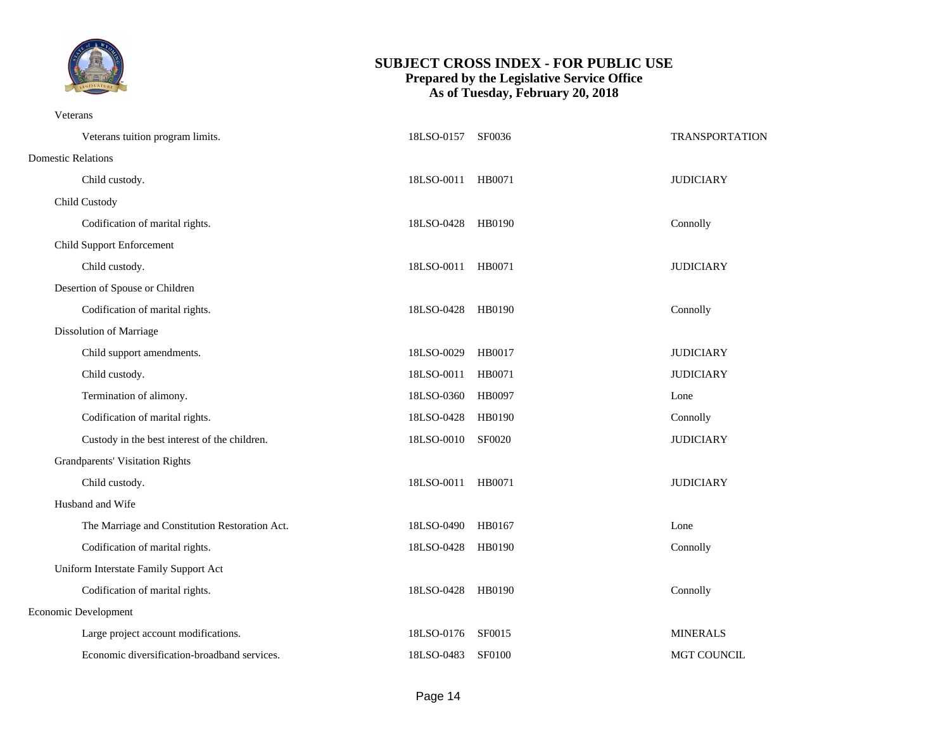

Veterans

| Veterans tuition program limits.               | 18LSO-0157 SF0036 |        | TRANSPORTATION     |
|------------------------------------------------|-------------------|--------|--------------------|
| <b>Domestic Relations</b>                      |                   |        |                    |
| Child custody.                                 | 18LSO-0011 HB0071 |        | <b>JUDICIARY</b>   |
| Child Custody                                  |                   |        |                    |
| Codification of marital rights.                | 18LSO-0428 HB0190 |        | Connolly           |
| <b>Child Support Enforcement</b>               |                   |        |                    |
| Child custody.                                 | 18LSO-0011 HB0071 |        | <b>JUDICIARY</b>   |
| Desertion of Spouse or Children                |                   |        |                    |
| Codification of marital rights.                | 18LSO-0428 HB0190 |        | Connolly           |
| <b>Dissolution of Marriage</b>                 |                   |        |                    |
| Child support amendments.                      | 18LSO-0029 HB0017 |        | <b>JUDICIARY</b>   |
| Child custody.                                 | 18LSO-0011 HB0071 |        | <b>JUDICIARY</b>   |
| Termination of alimony.                        | 18LSO-0360        | HB0097 | Lone               |
| Codification of marital rights.                | 18LSO-0428 HB0190 |        | Connolly           |
| Custody in the best interest of the children.  | 18LSO-0010 SF0020 |        | <b>JUDICIARY</b>   |
| <b>Grandparents' Visitation Rights</b>         |                   |        |                    |
| Child custody.                                 | 18LSO-0011 HB0071 |        | <b>JUDICIARY</b>   |
| Husband and Wife                               |                   |        |                    |
| The Marriage and Constitution Restoration Act. | 18LSO-0490 HB0167 |        | Lone               |
| Codification of marital rights.                | 18LSO-0428 HB0190 |        | Connolly           |
| Uniform Interstate Family Support Act          |                   |        |                    |
| Codification of marital rights.                | 18LSO-0428 HB0190 |        | Connolly           |
| <b>Economic Development</b>                    |                   |        |                    |
| Large project account modifications.           | 18LSO-0176 SF0015 |        | <b>MINERALS</b>    |
| Economic diversification-broadband services.   | 18LSO-0483 SF0100 |        | <b>MGT COUNCIL</b> |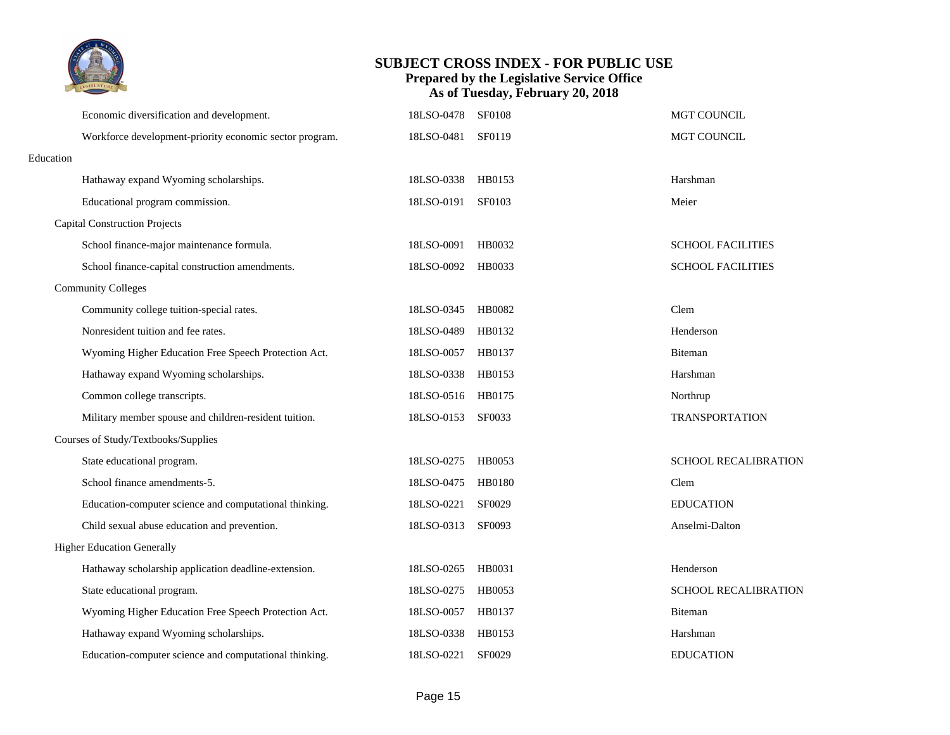

|           | Economic diversification and development.               | 18LSO-0478        | <b>SF0108</b> | MGT COUNCIL                 |
|-----------|---------------------------------------------------------|-------------------|---------------|-----------------------------|
|           | Workforce development-priority economic sector program. | 18LSO-0481        | SF0119        | MGT COUNCIL                 |
| Education |                                                         |                   |               |                             |
|           | Hathaway expand Wyoming scholarships.                   | 18LSO-0338        | HB0153        | Harshman                    |
|           | Educational program commission.                         | 18LSO-0191        | SF0103        | Meier                       |
|           | <b>Capital Construction Projects</b>                    |                   |               |                             |
|           | School finance-major maintenance formula.               | 18LSO-0091        | HB0032        | <b>SCHOOL FACILITIES</b>    |
|           | School finance-capital construction amendments.         | 18LSO-0092 HB0033 |               | <b>SCHOOL FACILITIES</b>    |
|           | <b>Community Colleges</b>                               |                   |               |                             |
|           | Community college tuition-special rates.                | 18LSO-0345        | HB0082        | Clem                        |
|           | Nonresident tuition and fee rates.                      | 18LSO-0489        | HB0132        | Henderson                   |
|           | Wyoming Higher Education Free Speech Protection Act.    | 18LSO-0057 HB0137 |               | Biteman                     |
|           | Hathaway expand Wyoming scholarships.                   | 18LSO-0338 HB0153 |               | Harshman                    |
|           | Common college transcripts.                             | 18LSO-0516 HB0175 |               | Northrup                    |
|           | Military member spouse and children-resident tuition.   | 18LSO-0153        | SF0033        | <b>TRANSPORTATION</b>       |
|           | Courses of Study/Textbooks/Supplies                     |                   |               |                             |
|           | State educational program.                              | 18LSO-0275 HB0053 |               | <b>SCHOOL RECALIBRATION</b> |
|           | School finance amendments-5.                            | 18LSO-0475 HB0180 |               | Clem                        |
|           | Education-computer science and computational thinking.  | 18LSO-0221        | SF0029        | <b>EDUCATION</b>            |
|           | Child sexual abuse education and prevention.            | 18LSO-0313        | SF0093        | Anselmi-Dalton              |
|           | <b>Higher Education Generally</b>                       |                   |               |                             |
|           | Hathaway scholarship application deadline-extension.    | 18LSO-0265        | HB0031        | Henderson                   |
|           | State educational program.                              | 18LSO-0275 HB0053 |               | SCHOOL RECALIBRATION        |
|           | Wyoming Higher Education Free Speech Protection Act.    | 18LSO-0057        | HB0137        | Biteman                     |
|           | Hathaway expand Wyoming scholarships.                   | 18LSO-0338        | HB0153        | Harshman                    |
|           | Education-computer science and computational thinking.  | 18LSO-0221        | SF0029        | <b>EDUCATION</b>            |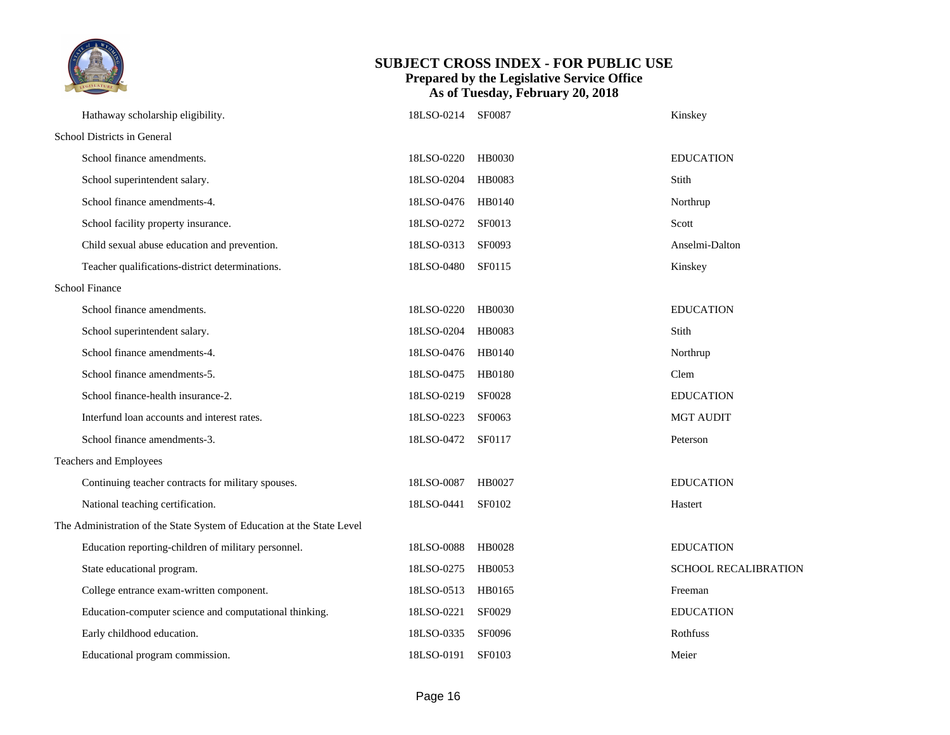

| Hathaway scholarship eligibility.                                      | 18LSO-0214        | <b>SF0087</b> | Kinskey              |
|------------------------------------------------------------------------|-------------------|---------------|----------------------|
| School Districts in General                                            |                   |               |                      |
| School finance amendments.                                             | 18LSO-0220        | HB0030        | <b>EDUCATION</b>     |
| School superintendent salary.                                          | 18LSO-0204        | HB0083        | Stith                |
| School finance amendments-4.                                           | 18LSO-0476 HB0140 |               | Northrup             |
| School facility property insurance.                                    | 18LSO-0272 SF0013 |               | Scott                |
| Child sexual abuse education and prevention.                           | 18LSO-0313        | SF0093        | Anselmi-Dalton       |
| Teacher qualifications-district determinations.                        | 18LSO-0480        | SF0115        | Kinskey              |
| <b>School Finance</b>                                                  |                   |               |                      |
| School finance amendments.                                             | 18LSO-0220        | HB0030        | <b>EDUCATION</b>     |
| School superintendent salary.                                          | 18LSO-0204        | HB0083        | Stith                |
| School finance amendments-4.                                           | 18LSO-0476        | HB0140        | Northrup             |
| School finance amendments-5.                                           | 18LSO-0475        | HB0180        | Clem                 |
| School finance-health insurance-2.                                     | 18LSO-0219        | SF0028        | <b>EDUCATION</b>     |
| Interfund loan accounts and interest rates.                            | 18LSO-0223        | SF0063        | <b>MGT AUDIT</b>     |
| School finance amendments-3.                                           | 18LSO-0472        | SF0117        | Peterson             |
| Teachers and Employees                                                 |                   |               |                      |
| Continuing teacher contracts for military spouses.                     | 18LSO-0087        | HB0027        | <b>EDUCATION</b>     |
| National teaching certification.                                       | 18LSO-0441        | SF0102        | Hastert              |
| The Administration of the State System of Education at the State Level |                   |               |                      |
| Education reporting-children of military personnel.                    | 18LSO-0088        | HB0028        | <b>EDUCATION</b>     |
| State educational program.                                             | 18LSO-0275        | HB0053        | SCHOOL RECALIBRATION |
| College entrance exam-written component.                               | 18LSO-0513        | HB0165        | Freeman              |
| Education-computer science and computational thinking.                 | 18LSO-0221        | SF0029        | <b>EDUCATION</b>     |
| Early childhood education.                                             | 18LSO-0335        | SF0096        | Rothfuss             |
| Educational program commission.                                        | 18LSO-0191        | SF0103        | Meier                |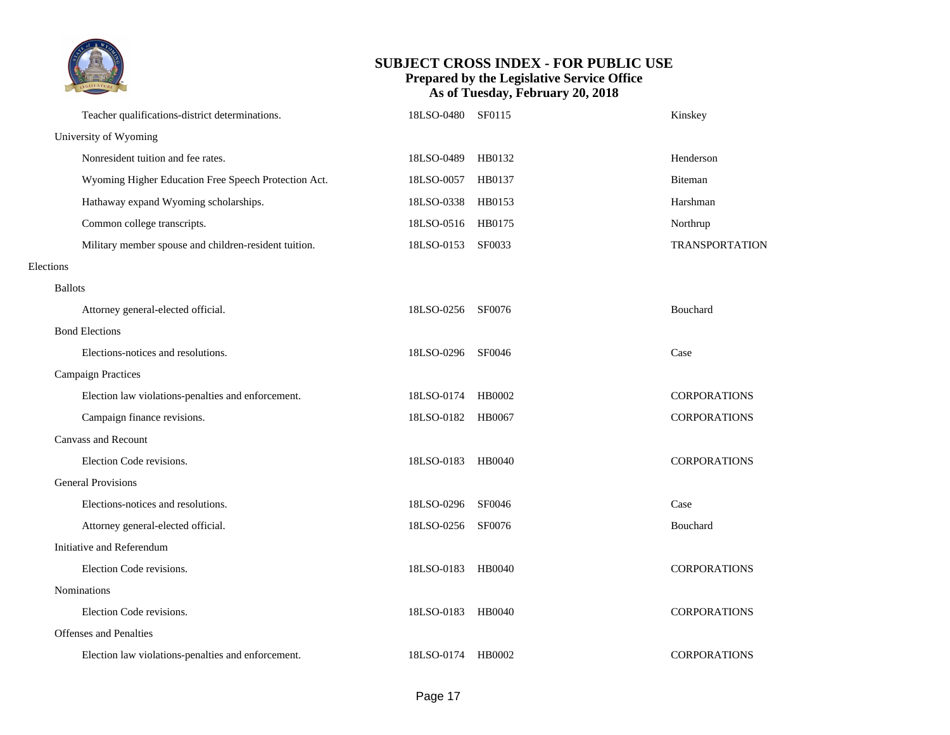

|                | Teacher qualifications-district determinations.       | 18LSO-0480        | SF0115 | Kinskey               |
|----------------|-------------------------------------------------------|-------------------|--------|-----------------------|
|                | University of Wyoming                                 |                   |        |                       |
|                | Nonresident tuition and fee rates.                    | 18LSO-0489        | HB0132 | Henderson             |
|                | Wyoming Higher Education Free Speech Protection Act.  | 18LSO-0057        | HB0137 | Biteman               |
|                | Hathaway expand Wyoming scholarships.                 | 18LSO-0338        | HB0153 | Harshman              |
|                | Common college transcripts.                           | 18LSO-0516 HB0175 |        | Northrup              |
|                | Military member spouse and children-resident tuition. | 18LSO-0153        | SF0033 | <b>TRANSPORTATION</b> |
| Elections      |                                                       |                   |        |                       |
| <b>Ballots</b> |                                                       |                   |        |                       |
|                | Attorney general-elected official.                    | 18LSO-0256 SF0076 |        | Bouchard              |
|                | <b>Bond Elections</b>                                 |                   |        |                       |
|                | Elections-notices and resolutions.                    | 18LSO-0296        | SF0046 | Case                  |
|                | <b>Campaign Practices</b>                             |                   |        |                       |
|                | Election law violations-penalties and enforcement.    | 18LSO-0174 HB0002 |        | <b>CORPORATIONS</b>   |
|                | Campaign finance revisions.                           | 18LSO-0182 HB0067 |        | <b>CORPORATIONS</b>   |
|                | <b>Canvass and Recount</b>                            |                   |        |                       |
|                | Election Code revisions.                              | 18LSO-0183 HB0040 |        | <b>CORPORATIONS</b>   |
|                | <b>General Provisions</b>                             |                   |        |                       |
|                | Elections-notices and resolutions.                    | 18LSO-0296 SF0046 |        | Case                  |
|                | Attorney general-elected official.                    | 18LSO-0256        | SF0076 | Bouchard              |
|                | Initiative and Referendum                             |                   |        |                       |
|                | Election Code revisions.                              | 18LSO-0183        | HB0040 | <b>CORPORATIONS</b>   |
|                | <b>Nominations</b>                                    |                   |        |                       |
|                | Election Code revisions.                              | 18LSO-0183 HB0040 |        | <b>CORPORATIONS</b>   |
|                | <b>Offenses and Penalties</b>                         |                   |        |                       |
|                | Election law violations-penalties and enforcement.    | 18LSO-0174 HB0002 |        | <b>CORPORATIONS</b>   |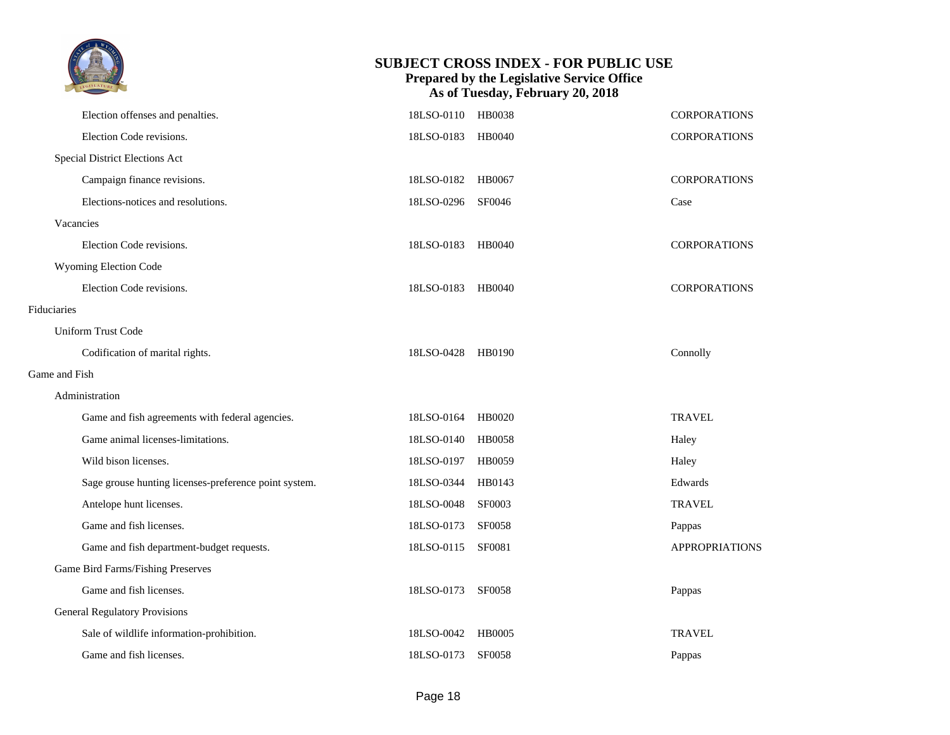|                                                       |                   | <b>SUBJECT CROSS INDEX - FOR PUBLIC USE</b><br>Prepared by the Legislative Service Office<br>As of Tuesday, February 20, 2018 |                       |
|-------------------------------------------------------|-------------------|-------------------------------------------------------------------------------------------------------------------------------|-----------------------|
| Election offenses and penalties.                      | 18LSO-0110 HB0038 |                                                                                                                               | <b>CORPORATIONS</b>   |
| Election Code revisions.                              | 18LSO-0183 HB0040 |                                                                                                                               | <b>CORPORATIONS</b>   |
| Special District Elections Act                        |                   |                                                                                                                               |                       |
| Campaign finance revisions.                           | 18LSO-0182 HB0067 |                                                                                                                               | <b>CORPORATIONS</b>   |
| Elections-notices and resolutions.                    | 18LSO-0296 SF0046 |                                                                                                                               | Case                  |
| Vacancies                                             |                   |                                                                                                                               |                       |
| Election Code revisions.                              | 18LSO-0183        | HB0040                                                                                                                        | <b>CORPORATIONS</b>   |
| Wyoming Election Code                                 |                   |                                                                                                                               |                       |
| Election Code revisions.                              | 18LSO-0183 HB0040 |                                                                                                                               | <b>CORPORATIONS</b>   |
| Fiduciaries                                           |                   |                                                                                                                               |                       |
| <b>Uniform Trust Code</b>                             |                   |                                                                                                                               |                       |
| Codification of marital rights.                       | 18LSO-0428 HB0190 |                                                                                                                               | Connolly              |
| Game and Fish                                         |                   |                                                                                                                               |                       |
| Administration                                        |                   |                                                                                                                               |                       |
| Game and fish agreements with federal agencies.       | 18LSO-0164        | HB0020                                                                                                                        | <b>TRAVEL</b>         |
| Game animal licenses-limitations.                     | 18LSO-0140        | <b>HB0058</b>                                                                                                                 | Haley                 |
| Wild bison licenses.                                  | 18LSO-0197        | <b>HB0059</b>                                                                                                                 | Haley                 |
| Sage grouse hunting licenses-preference point system. | 18LSO-0344 HB0143 |                                                                                                                               | Edwards               |
| Antelope hunt licenses.                               | 18LSO-0048        | <b>SF0003</b>                                                                                                                 | <b>TRAVEL</b>         |
| Game and fish licenses.                               | 18LSO-0173        | <b>SF0058</b>                                                                                                                 | Pappas                |
| Game and fish department-budget requests.             | 18LSO-0115 SF0081 |                                                                                                                               | <b>APPROPRIATIONS</b> |
| Game Bird Farms/Fishing Preserves                     |                   |                                                                                                                               |                       |
| Game and fish licenses.                               | 18LSO-0173        | <b>SF0058</b>                                                                                                                 | Pappas                |
| <b>General Regulatory Provisions</b>                  |                   |                                                                                                                               |                       |
| Sale of wildlife information-prohibition.             | 18LSO-0042        | <b>HB0005</b>                                                                                                                 | <b>TRAVEL</b>         |
| Game and fish licenses.                               | 18LSO-0173 SF0058 |                                                                                                                               | Pappas                |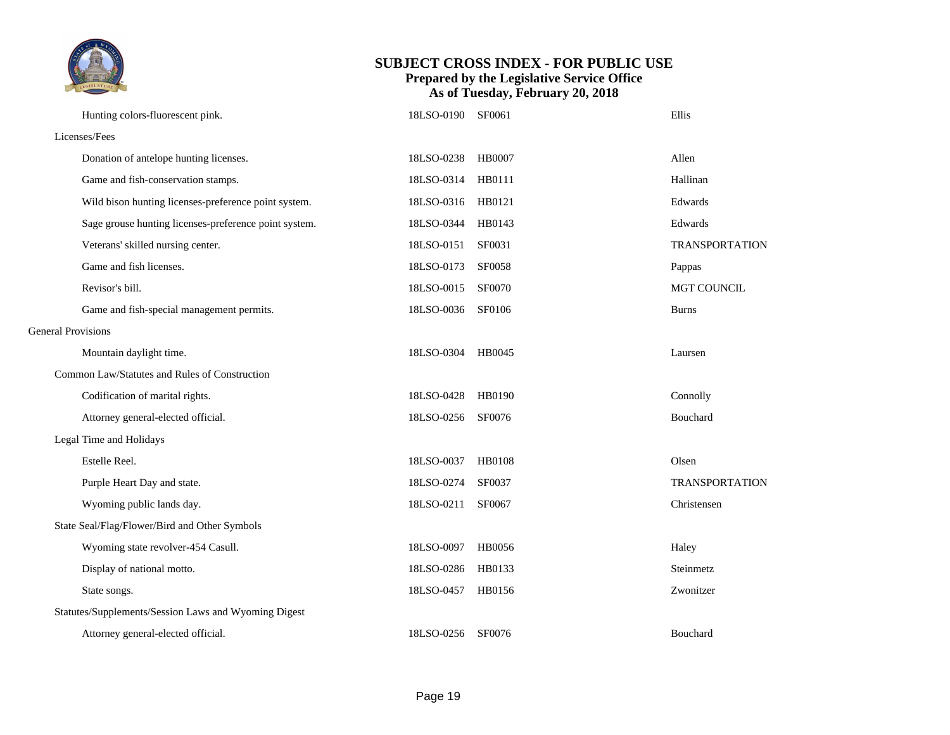

|                           | Hunting colors-fluorescent pink.                      | 18LSO-0190 SF0061 |               | Ellis                 |
|---------------------------|-------------------------------------------------------|-------------------|---------------|-----------------------|
|                           | Licenses/Fees                                         |                   |               |                       |
|                           | Donation of antelope hunting licenses.                | 18LSO-0238        | <b>HB0007</b> | Allen                 |
|                           | Game and fish-conservation stamps.                    | 18LSO-0314        | HB0111        | Hallinan              |
|                           | Wild bison hunting licenses-preference point system.  | 18LSO-0316 HB0121 |               | Edwards               |
|                           | Sage grouse hunting licenses-preference point system. | 18LSO-0344        | HB0143        | Edwards               |
|                           | Veterans' skilled nursing center.                     | 18LSO-0151        | SF0031        | <b>TRANSPORTATION</b> |
|                           | Game and fish licenses.                               | 18LSO-0173        | <b>SF0058</b> | Pappas                |
|                           | Revisor's bill.                                       | 18LSO-0015        | <b>SF0070</b> | MGT COUNCIL           |
|                           | Game and fish-special management permits.             | 18LSO-0036        | SF0106        | <b>Burns</b>          |
| <b>General Provisions</b> |                                                       |                   |               |                       |
|                           | Mountain daylight time.                               | 18LSO-0304 HB0045 |               | Laursen               |
|                           | Common Law/Statutes and Rules of Construction         |                   |               |                       |
|                           | Codification of marital rights.                       | 18LSO-0428        | HB0190        | Connolly              |
|                           | Attorney general-elected official.                    | 18LSO-0256        | SF0076        | Bouchard              |
|                           | Legal Time and Holidays                               |                   |               |                       |
|                           | Estelle Reel.                                         | 18LSO-0037        | <b>HB0108</b> | Olsen                 |
|                           | Purple Heart Day and state.                           | 18LSO-0274        | SF0037        | <b>TRANSPORTATION</b> |
|                           | Wyoming public lands day.                             | 18LSO-0211        | SF0067        | Christensen           |
|                           | State Seal/Flag/Flower/Bird and Other Symbols         |                   |               |                       |
|                           | Wyoming state revolver-454 Casull.                    | 18LSO-0097        | HB0056        | Haley                 |
|                           | Display of national motto.                            | 18LSO-0286        | HB0133        | Steinmetz             |
|                           | State songs.                                          | 18LSO-0457        | HB0156        | Zwonitzer             |
|                           | Statutes/Supplements/Session Laws and Wyoming Digest  |                   |               |                       |
|                           | Attorney general-elected official.                    | 18LSO-0256        | SF0076        | Bouchard              |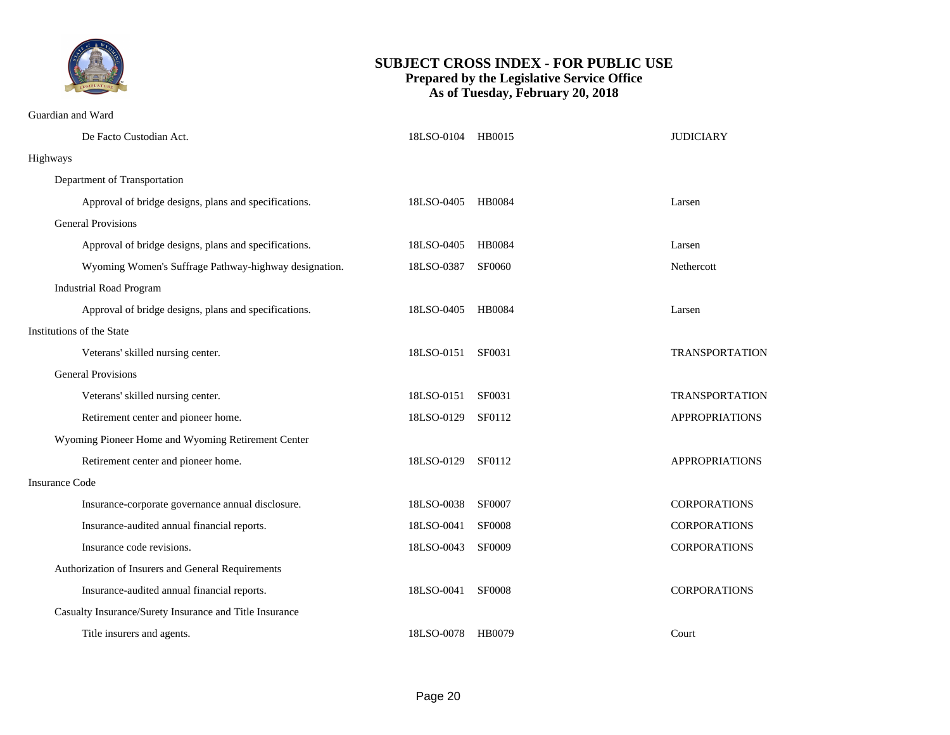

Guardian and Ward

|                       | De Facto Custodian Act.                                 | 18LSO-0104 HB0015 |               | <b>JUDICIARY</b>      |  |  |
|-----------------------|---------------------------------------------------------|-------------------|---------------|-----------------------|--|--|
|                       | Highways                                                |                   |               |                       |  |  |
|                       | Department of Transportation                            |                   |               |                       |  |  |
|                       | Approval of bridge designs, plans and specifications.   | 18LSO-0405        | <b>HB0084</b> | Larsen                |  |  |
|                       | <b>General Provisions</b>                               |                   |               |                       |  |  |
|                       | Approval of bridge designs, plans and specifications.   | 18LSO-0405        | <b>HB0084</b> | Larsen                |  |  |
|                       | Wyoming Women's Suffrage Pathway-highway designation.   | 18LSO-0387        | SF0060        | Nethercott            |  |  |
|                       | <b>Industrial Road Program</b>                          |                   |               |                       |  |  |
|                       | Approval of bridge designs, plans and specifications.   | 18LSO-0405        | <b>HB0084</b> | Larsen                |  |  |
|                       | Institutions of the State                               |                   |               |                       |  |  |
|                       | Veterans' skilled nursing center.                       | 18LSO-0151        | SF0031        | <b>TRANSPORTATION</b> |  |  |
|                       | <b>General Provisions</b>                               |                   |               |                       |  |  |
|                       | Veterans' skilled nursing center.                       | 18LSO-0151        | SF0031        | <b>TRANSPORTATION</b> |  |  |
|                       | Retirement center and pioneer home.                     | 18LSO-0129        | SF0112        | <b>APPROPRIATIONS</b> |  |  |
|                       | Wyoming Pioneer Home and Wyoming Retirement Center      |                   |               |                       |  |  |
|                       | Retirement center and pioneer home.                     | 18LSO-0129        | SF0112        | <b>APPROPRIATIONS</b> |  |  |
| <b>Insurance Code</b> |                                                         |                   |               |                       |  |  |
|                       | Insurance-corporate governance annual disclosure.       | 18LSO-0038        | <b>SF0007</b> | <b>CORPORATIONS</b>   |  |  |
|                       | Insurance-audited annual financial reports.             | 18LSO-0041        | <b>SF0008</b> | <b>CORPORATIONS</b>   |  |  |
|                       | Insurance code revisions.                               | 18LSO-0043        | <b>SF0009</b> | <b>CORPORATIONS</b>   |  |  |
|                       | Authorization of Insurers and General Requirements      |                   |               |                       |  |  |
|                       | Insurance-audited annual financial reports.             | 18LSO-0041        | <b>SF0008</b> | <b>CORPORATIONS</b>   |  |  |
|                       | Casualty Insurance/Surety Insurance and Title Insurance |                   |               |                       |  |  |
|                       | Title insurers and agents.                              | 18LSO-0078        | HB0079        | Court                 |  |  |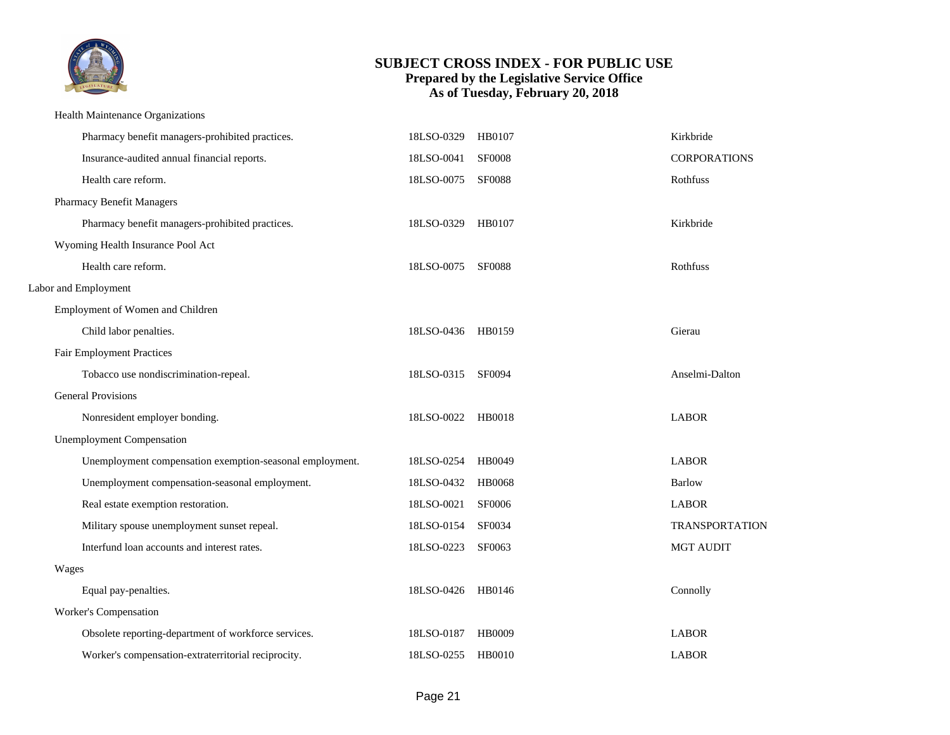

#### Health Maintenance Organizations

| Pharmacy benefit managers-prohibited practices.          | 18LSO-0329        | HB0107        | Kirkbride             |
|----------------------------------------------------------|-------------------|---------------|-----------------------|
| Insurance-audited annual financial reports.              | 18LSO-0041        | <b>SF0008</b> | <b>CORPORATIONS</b>   |
| Health care reform.                                      | 18LSO-0075        | <b>SF0088</b> | Rothfuss              |
| Pharmacy Benefit Managers                                |                   |               |                       |
| Pharmacy benefit managers-prohibited practices.          | 18LSO-0329        | HB0107        | Kirkbride             |
| Wyoming Health Insurance Pool Act                        |                   |               |                       |
| Health care reform.                                      | 18LSO-0075        | <b>SF0088</b> | Rothfuss              |
| Labor and Employment                                     |                   |               |                       |
| Employment of Women and Children                         |                   |               |                       |
| Child labor penalties.                                   | 18LSO-0436 HB0159 |               | Gierau                |
| <b>Fair Employment Practices</b>                         |                   |               |                       |
| Tobacco use nondiscrimination-repeal.                    | 18LSO-0315        | <b>SF0094</b> | Anselmi-Dalton        |
| <b>General Provisions</b>                                |                   |               |                       |
| Nonresident employer bonding.                            | 18LSO-0022        | HB0018        | <b>LABOR</b>          |
| <b>Unemployment Compensation</b>                         |                   |               |                       |
| Unemployment compensation exemption-seasonal employment. | 18LSO-0254        | HB0049        | <b>LABOR</b>          |
| Unemployment compensation-seasonal employment.           | 18LSO-0432        | <b>HB0068</b> | <b>Barlow</b>         |
| Real estate exemption restoration.                       | 18LSO-0021        | <b>SF0006</b> | <b>LABOR</b>          |
| Military spouse unemployment sunset repeal.              | 18LSO-0154        | SF0034        | <b>TRANSPORTATION</b> |
| Interfund loan accounts and interest rates.              | 18LSO-0223        | SF0063        | <b>MGT AUDIT</b>      |
| Wages                                                    |                   |               |                       |
| Equal pay-penalties.                                     | 18LSO-0426        | HB0146        | Connolly              |
| Worker's Compensation                                    |                   |               |                       |
| Obsolete reporting-department of workforce services.     | 18LSO-0187        | <b>HB0009</b> | <b>LABOR</b>          |
| Worker's compensation-extraterritorial reciprocity.      | 18LSO-0255        | <b>HB0010</b> | <b>LABOR</b>          |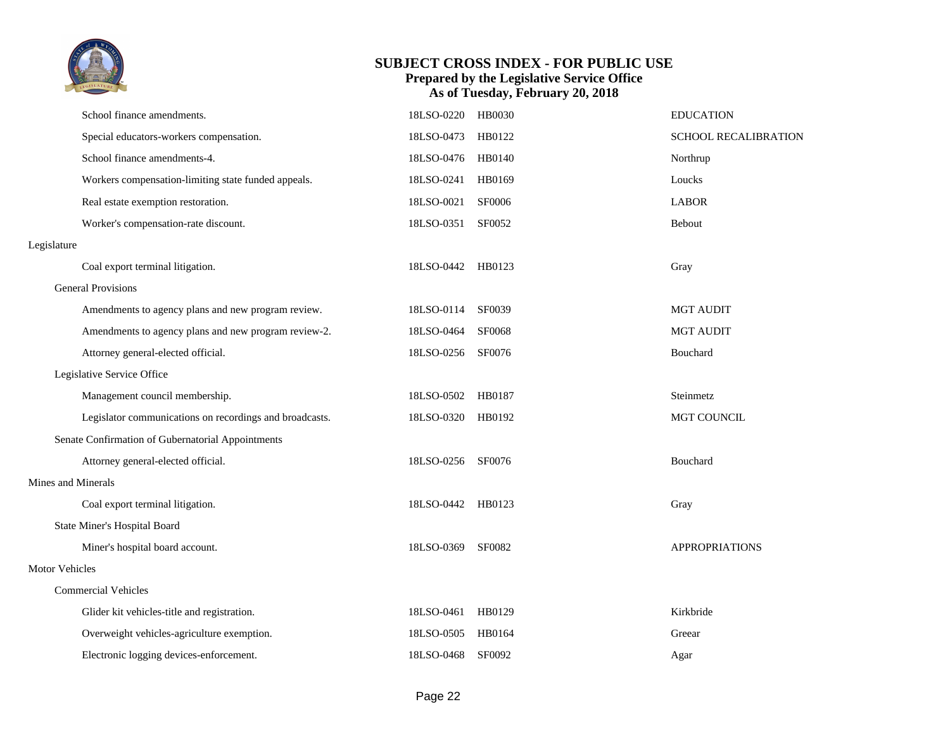

|                       | School finance amendments.                              | 18LSO-0220        | <b>HB0030</b> | <b>EDUCATION</b>      |
|-----------------------|---------------------------------------------------------|-------------------|---------------|-----------------------|
|                       | Special educators-workers compensation.                 | 18LSO-0473        | HB0122        | SCHOOL RECALIBRATION  |
|                       | School finance amendments-4.                            | 18LSO-0476        | HB0140        | Northrup              |
|                       | Workers compensation-limiting state funded appeals.     | 18LSO-0241        | HB0169        | Loucks                |
|                       | Real estate exemption restoration.                      | 18LSO-0021        | <b>SF0006</b> | <b>LABOR</b>          |
|                       | Worker's compensation-rate discount.                    | 18LSO-0351        | SF0052        | Bebout                |
| Legislature           |                                                         |                   |               |                       |
|                       | Coal export terminal litigation.                        | 18LSO-0442        | HB0123        | Gray                  |
|                       | <b>General Provisions</b>                               |                   |               |                       |
|                       | Amendments to agency plans and new program review.      | 18LSO-0114        | SF0039        | <b>MGT AUDIT</b>      |
|                       | Amendments to agency plans and new program review-2.    | 18LSO-0464        | SF0068        | <b>MGT AUDIT</b>      |
|                       | Attorney general-elected official.                      | 18LSO-0256        | SF0076        | Bouchard              |
|                       | Legislative Service Office                              |                   |               |                       |
|                       | Management council membership.                          | 18LSO-0502        | HB0187        | Steinmetz             |
|                       | Legislator communications on recordings and broadcasts. | 18LSO-0320 HB0192 |               | <b>MGT COUNCIL</b>    |
|                       | Senate Confirmation of Gubernatorial Appointments       |                   |               |                       |
|                       | Attorney general-elected official.                      | 18LSO-0256        | SF0076        | Bouchard              |
| Mines and Minerals    |                                                         |                   |               |                       |
|                       | Coal export terminal litigation.                        | 18LSO-0442 HB0123 |               | Gray                  |
|                       | State Miner's Hospital Board                            |                   |               |                       |
|                       | Miner's hospital board account.                         | 18LSO-0369        | SF0082        | <b>APPROPRIATIONS</b> |
| <b>Motor Vehicles</b> |                                                         |                   |               |                       |
|                       | <b>Commercial Vehicles</b>                              |                   |               |                       |
|                       | Glider kit vehicles-title and registration.             | 18LSO-0461        | HB0129        | Kirkbride             |
|                       | Overweight vehicles-agriculture exemption.              | 18LSO-0505        | HB0164        | Greear                |
|                       | Electronic logging devices-enforcement.                 | 18LSO-0468        | <b>SF0092</b> | Agar                  |
|                       |                                                         |                   |               |                       |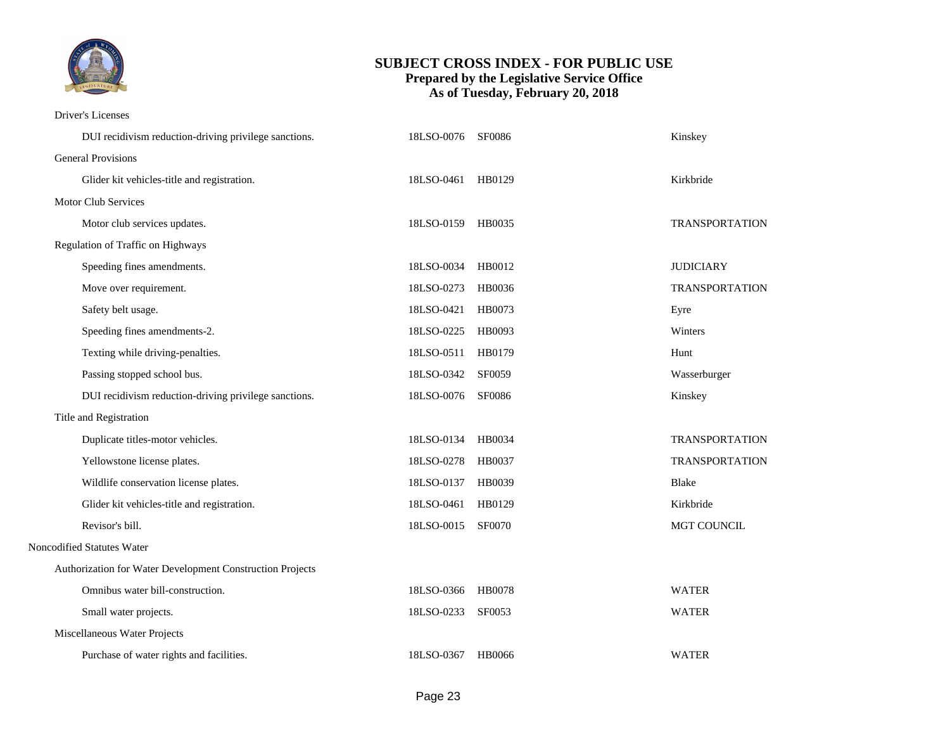

Driver's Licenses

| DUI recidivism reduction-driving privilege sanctions.     | 18LSO-0076 SF0086 |               | Kinskey               |
|-----------------------------------------------------------|-------------------|---------------|-----------------------|
| <b>General Provisions</b>                                 |                   |               |                       |
| Glider kit vehicles-title and registration.               | 18LSO-0461 HB0129 |               | Kirkbride             |
| <b>Motor Club Services</b>                                |                   |               |                       |
| Motor club services updates.                              | 18LSO-0159 HB0035 |               | TRANSPORTATION        |
| Regulation of Traffic on Highways                         |                   |               |                       |
| Speeding fines amendments.                                | 18LSO-0034 HB0012 |               | <b>JUDICIARY</b>      |
| Move over requirement.                                    | 18LSO-0273        | HB0036        | <b>TRANSPORTATION</b> |
| Safety belt usage.                                        | 18LSO-0421        | HB0073        | Eyre                  |
| Speeding fines amendments-2.                              | 18LSO-0225        | HB0093        | Winters               |
| Texting while driving-penalties.                          | 18LSO-0511        | HB0179        | Hunt                  |
| Passing stopped school bus.                               | 18LSO-0342        | <b>SF0059</b> | Wasserburger          |
| DUI recidivism reduction-driving privilege sanctions.     | 18LSO-0076        | SF0086        | Kinskey               |
| Title and Registration                                    |                   |               |                       |
| Duplicate titles-motor vehicles.                          | 18LSO-0134        | HB0034        | <b>TRANSPORTATION</b> |
| Yellowstone license plates.                               | 18LSO-0278        | HB0037        | <b>TRANSPORTATION</b> |
| Wildlife conservation license plates.                     | 18LSO-0137        | HB0039        | <b>Blake</b>          |
| Glider kit vehicles-title and registration.               | 18LSO-0461        | HB0129        | Kirkbride             |
| Revisor's bill.                                           | 18LSO-0015        | <b>SF0070</b> | MGT COUNCIL           |
| Noncodified Statutes Water                                |                   |               |                       |
| Authorization for Water Development Construction Projects |                   |               |                       |
| Omnibus water bill-construction.                          | 18LSO-0366        | HB0078        | <b>WATER</b>          |
| Small water projects.                                     | 18LSO-0233        | SF0053        | <b>WATER</b>          |
| Miscellaneous Water Projects                              |                   |               |                       |
| Purchase of water rights and facilities.                  | 18LSO-0367 HB0066 |               | <b>WATER</b>          |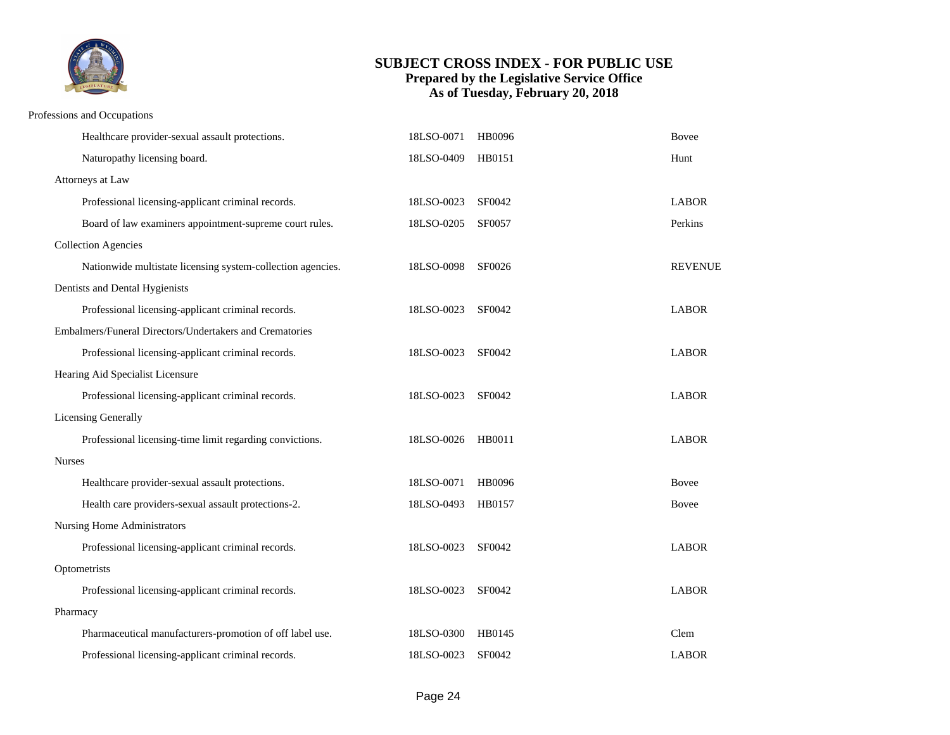

#### Professions and Occupations

|               | Healthcare provider-sexual assault protections.             | 18LSO-0071 | HB0096 | <b>Bovee</b>   |  |
|---------------|-------------------------------------------------------------|------------|--------|----------------|--|
|               | Naturopathy licensing board.                                | 18LSO-0409 | HB0151 | Hunt           |  |
|               | Attorneys at Law                                            |            |        |                |  |
|               | Professional licensing-applicant criminal records.          | 18LSO-0023 | SF0042 | <b>LABOR</b>   |  |
|               | Board of law examiners appointment-supreme court rules.     | 18LSO-0205 | SF0057 | Perkins        |  |
|               | <b>Collection Agencies</b>                                  |            |        |                |  |
|               | Nationwide multistate licensing system-collection agencies. | 18LSO-0098 | SF0026 | <b>REVENUE</b> |  |
|               | Dentists and Dental Hygienists                              |            |        |                |  |
|               | Professional licensing-applicant criminal records.          | 18LSO-0023 | SF0042 | <b>LABOR</b>   |  |
|               | Embalmers/Funeral Directors/Undertakers and Crematories     |            |        |                |  |
|               | Professional licensing-applicant criminal records.          | 18LSO-0023 | SF0042 | <b>LABOR</b>   |  |
|               | Hearing Aid Specialist Licensure                            |            |        |                |  |
|               | Professional licensing-applicant criminal records.          | 18LSO-0023 | SF0042 | <b>LABOR</b>   |  |
|               | Licensing Generally                                         |            |        |                |  |
|               | Professional licensing-time limit regarding convictions.    | 18LSO-0026 | HB0011 | <b>LABOR</b>   |  |
| <b>Nurses</b> |                                                             |            |        |                |  |
|               | Healthcare provider-sexual assault protections.             | 18LSO-0071 | HB0096 | <b>Bovee</b>   |  |
|               | Health care providers-sexual assault protections-2.         | 18LSO-0493 | HB0157 | <b>Bovee</b>   |  |
|               | Nursing Home Administrators                                 |            |        |                |  |
|               | Professional licensing-applicant criminal records.          | 18LSO-0023 | SF0042 | <b>LABOR</b>   |  |
| Optometrists  |                                                             |            |        |                |  |
|               | Professional licensing-applicant criminal records.          | 18LSO-0023 | SF0042 | <b>LABOR</b>   |  |
|               | Pharmacy                                                    |            |        |                |  |
|               | Pharmaceutical manufacturers-promotion of off label use.    | 18LSO-0300 | HB0145 | Clem           |  |
|               | Professional licensing-applicant criminal records.          | 18LSO-0023 | SF0042 | <b>LABOR</b>   |  |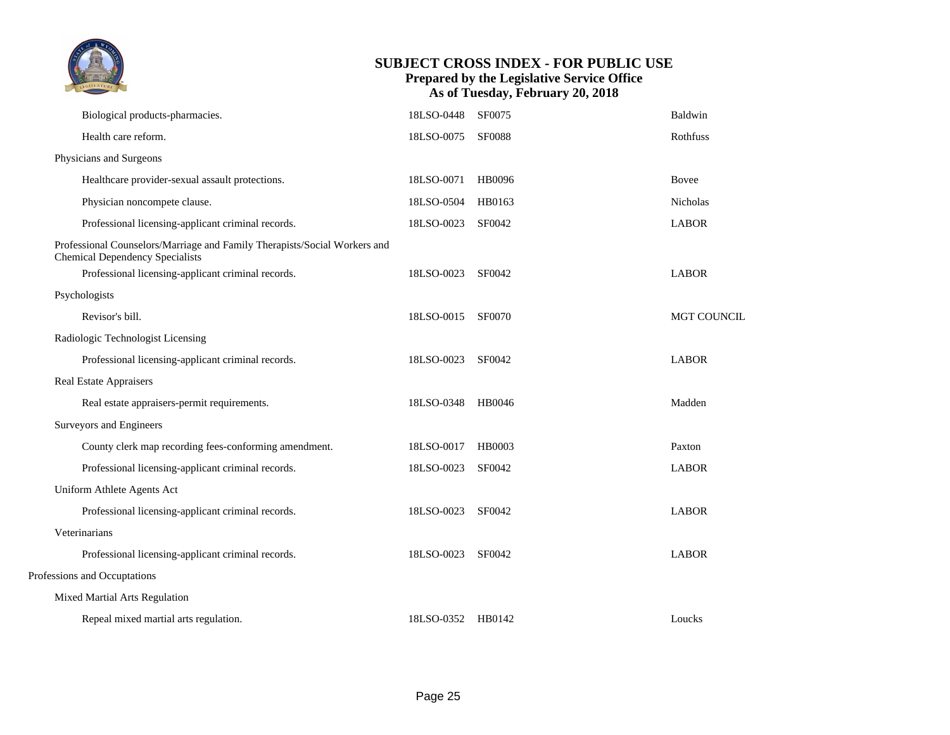|                                                                                                                     |                   | <b>SUBJECT CROSS INDEX - FOR PUBLIC USE</b><br><b>Prepared by the Legislative Service Office</b><br>As of Tuesday, February 20, 2018 |                    |
|---------------------------------------------------------------------------------------------------------------------|-------------------|--------------------------------------------------------------------------------------------------------------------------------------|--------------------|
| Biological products-pharmacies.                                                                                     | 18LSO-0448        | SF0075                                                                                                                               | Baldwin            |
| Health care reform.                                                                                                 | 18LSO-0075        | <b>SF0088</b>                                                                                                                        | Rothfuss           |
| Physicians and Surgeons                                                                                             |                   |                                                                                                                                      |                    |
| Healthcare provider-sexual assault protections.                                                                     | 18LSO-0071        | HB0096                                                                                                                               | <b>Bovee</b>       |
| Physician noncompete clause.                                                                                        | 18LSO-0504        | HB0163                                                                                                                               | Nicholas           |
| Professional licensing-applicant criminal records.                                                                  | 18LSO-0023        | SF0042                                                                                                                               | <b>LABOR</b>       |
| Professional Counselors/Marriage and Family Therapists/Social Workers and<br><b>Chemical Dependency Specialists</b> |                   |                                                                                                                                      |                    |
| Professional licensing-applicant criminal records.                                                                  | 18LSO-0023        | SF0042                                                                                                                               | <b>LABOR</b>       |
| Psychologists                                                                                                       |                   |                                                                                                                                      |                    |
| Revisor's bill.                                                                                                     | 18LSO-0015 SF0070 |                                                                                                                                      | <b>MGT COUNCIL</b> |
| Radiologic Technologist Licensing                                                                                   |                   |                                                                                                                                      |                    |
| Professional licensing-applicant criminal records.                                                                  | 18LSO-0023        | SF0042                                                                                                                               | <b>LABOR</b>       |
| <b>Real Estate Appraisers</b>                                                                                       |                   |                                                                                                                                      |                    |
| Real estate appraisers-permit requirements.                                                                         | 18LSO-0348        | HB0046                                                                                                                               | Madden             |
| Surveyors and Engineers                                                                                             |                   |                                                                                                                                      |                    |
| County clerk map recording fees-conforming amendment.                                                               | 18LSO-0017        | HB0003                                                                                                                               | Paxton             |
| Professional licensing-applicant criminal records.                                                                  | 18LSO-0023        | SF0042                                                                                                                               | <b>LABOR</b>       |
| Uniform Athlete Agents Act                                                                                          |                   |                                                                                                                                      |                    |
| Professional licensing-applicant criminal records.                                                                  | 18LSO-0023        | SF0042                                                                                                                               | <b>LABOR</b>       |
| Veterinarians                                                                                                       |                   |                                                                                                                                      |                    |
| Professional licensing-applicant criminal records.                                                                  | 18LSO-0023 SF0042 |                                                                                                                                      | <b>LABOR</b>       |
| Professions and Occuptations                                                                                        |                   |                                                                                                                                      |                    |
| Mixed Martial Arts Regulation                                                                                       |                   |                                                                                                                                      |                    |
| Repeal mixed martial arts regulation.                                                                               | 18LSO-0352 HB0142 |                                                                                                                                      | Loucks             |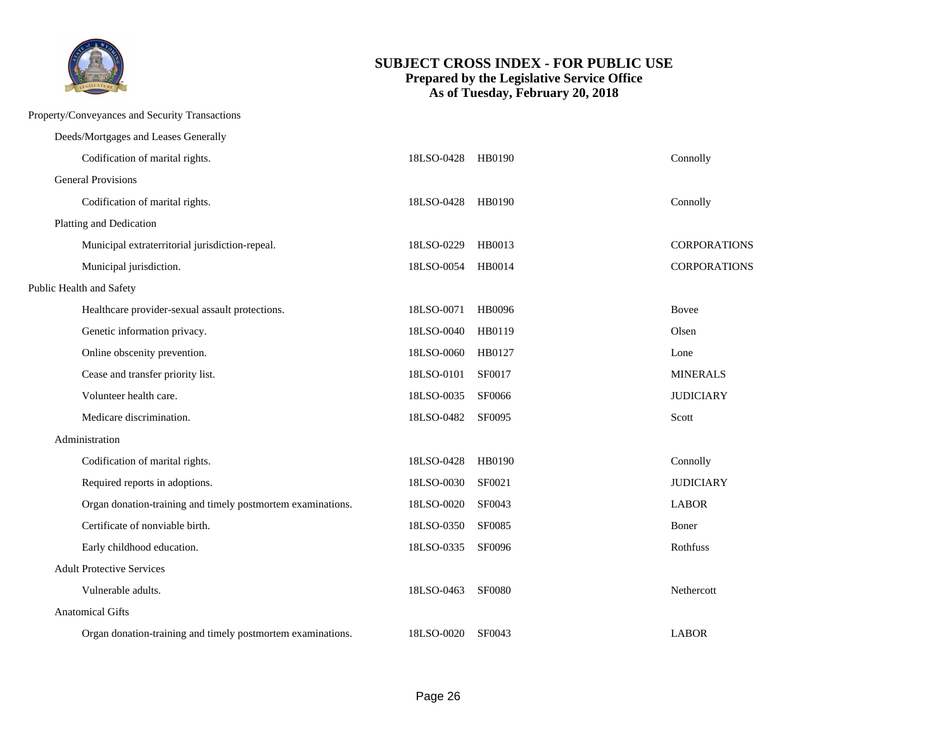

Property/Conveyances and Security Transactions

| Deeds/Mortgages and Leases Generally                        |            |               |                  |
|-------------------------------------------------------------|------------|---------------|------------------|
| Codification of marital rights.                             | 18LSO-0428 | HB0190        | Connolly         |
| <b>General Provisions</b>                                   |            |               |                  |
| Codification of marital rights.                             | 18LSO-0428 | HB0190        | Connolly         |
| Platting and Dedication                                     |            |               |                  |
| Municipal extraterritorial jurisdiction-repeal.             | 18LSO-0229 | HB0013        | CORPORATIONS     |
| Municipal jurisdiction.                                     | 18LSO-0054 | HB0014        | CORPORATIONS     |
| Public Health and Safety                                    |            |               |                  |
| Healthcare provider-sexual assault protections.             | 18LSO-0071 | HB0096        | <b>Bovee</b>     |
| Genetic information privacy.                                | 18LSO-0040 | HB0119        | Olsen            |
| Online obscenity prevention.                                | 18LSO-0060 | HB0127        | Lone             |
| Cease and transfer priority list.                           | 18LSO-0101 | SF0017        | <b>MINERALS</b>  |
| Volunteer health care.                                      | 18LSO-0035 | SF0066        | <b>JUDICIARY</b> |
| Medicare discrimination.                                    | 18LSO-0482 | SF0095        | Scott            |
| Administration                                              |            |               |                  |
| Codification of marital rights.                             | 18LSO-0428 | HB0190        | Connolly         |
| Required reports in adoptions.                              | 18LSO-0030 | SF0021        | <b>JUDICIARY</b> |
| Organ donation-training and timely postmortem examinations. | 18LSO-0020 | SF0043        | <b>LABOR</b>     |
| Certificate of nonviable birth.                             | 18LSO-0350 | <b>SF0085</b> | Boner            |
| Early childhood education.                                  | 18LSO-0335 | SF0096        | Rothfuss         |
| <b>Adult Protective Services</b>                            |            |               |                  |
| Vulnerable adults.                                          | 18LSO-0463 | <b>SF0080</b> | Nethercott       |
| <b>Anatomical Gifts</b>                                     |            |               |                  |
| Organ donation-training and timely postmortem examinations. | 18LSO-0020 | SF0043        | <b>LABOR</b>     |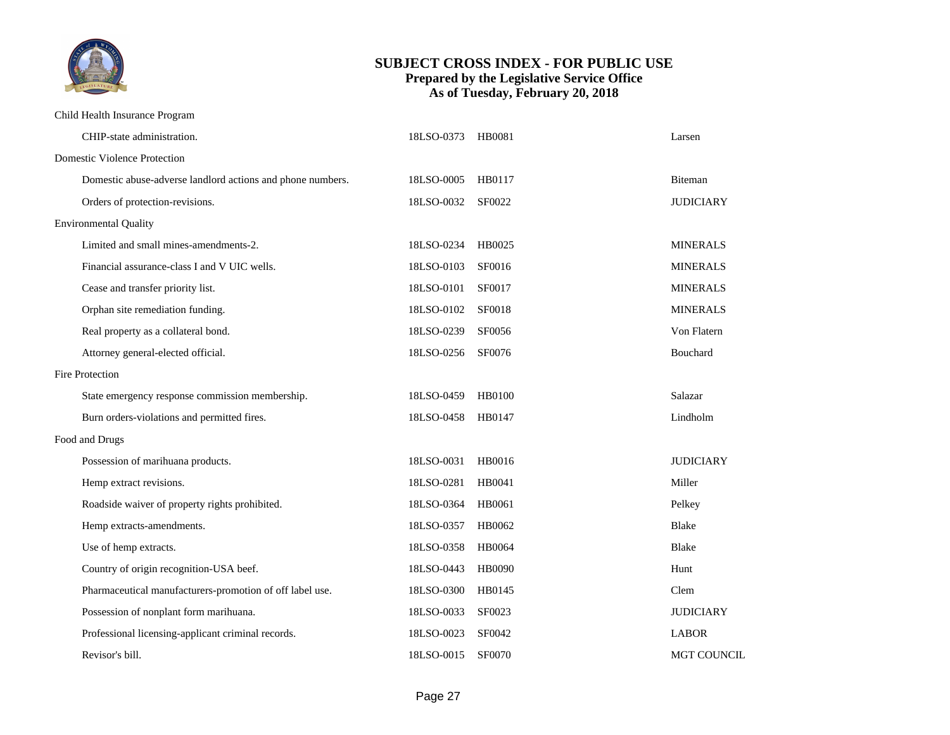

#### Child Health Insurance Program

|                 | CHIP-state administration.                                 | 18LSO-0373 | HB0081        | Larsen             |  |  |  |
|-----------------|------------------------------------------------------------|------------|---------------|--------------------|--|--|--|
|                 | <b>Domestic Violence Protection</b>                        |            |               |                    |  |  |  |
|                 | Domestic abuse-adverse landlord actions and phone numbers. | 18LSO-0005 | HB0117        | Biteman            |  |  |  |
|                 | Orders of protection-revisions.                            | 18LSO-0032 | SF0022        | <b>JUDICIARY</b>   |  |  |  |
|                 | <b>Environmental Quality</b>                               |            |               |                    |  |  |  |
|                 | Limited and small mines-amendments-2.                      | 18LSO-0234 | HB0025        | <b>MINERALS</b>    |  |  |  |
|                 | Financial assurance-class I and V UIC wells.               | 18LSO-0103 | SF0016        | <b>MINERALS</b>    |  |  |  |
|                 | Cease and transfer priority list.                          | 18LSO-0101 | SF0017        | <b>MINERALS</b>    |  |  |  |
|                 | Orphan site remediation funding.                           | 18LSO-0102 | <b>SF0018</b> | <b>MINERALS</b>    |  |  |  |
|                 | Real property as a collateral bond.                        | 18LSO-0239 | SF0056        | Von Flatern        |  |  |  |
|                 | Attorney general-elected official.                         | 18LSO-0256 | SF0076        | Bouchard           |  |  |  |
| Fire Protection |                                                            |            |               |                    |  |  |  |
|                 | State emergency response commission membership.            | 18LSO-0459 | HB0100        | Salazar            |  |  |  |
|                 | Burn orders-violations and permitted fires.                | 18LSO-0458 | HB0147        | Lindholm           |  |  |  |
|                 | Food and Drugs                                             |            |               |                    |  |  |  |
|                 | Possession of marihuana products.                          | 18LSO-0031 | HB0016        | <b>JUDICIARY</b>   |  |  |  |
|                 | Hemp extract revisions.                                    | 18LSO-0281 | HB0041        | Miller             |  |  |  |
|                 | Roadside waiver of property rights prohibited.             | 18LSO-0364 | HB0061        | Pelkey             |  |  |  |
|                 | Hemp extracts-amendments.                                  | 18LSO-0357 | HB0062        | <b>Blake</b>       |  |  |  |
|                 | Use of hemp extracts.                                      | 18LSO-0358 | <b>HB0064</b> | <b>Blake</b>       |  |  |  |
|                 | Country of origin recognition-USA beef.                    | 18LSO-0443 | HB0090        | Hunt               |  |  |  |
|                 | Pharmaceutical manufacturers-promotion of off label use.   | 18LSO-0300 | HB0145        | Clem               |  |  |  |
|                 | Possession of nonplant form marihuana.                     | 18LSO-0033 | SF0023        | <b>JUDICIARY</b>   |  |  |  |
|                 | Professional licensing-applicant criminal records.         | 18LSO-0023 | SF0042        | <b>LABOR</b>       |  |  |  |
|                 | Revisor's bill.                                            | 18LSO-0015 | <b>SF0070</b> | <b>MGT COUNCIL</b> |  |  |  |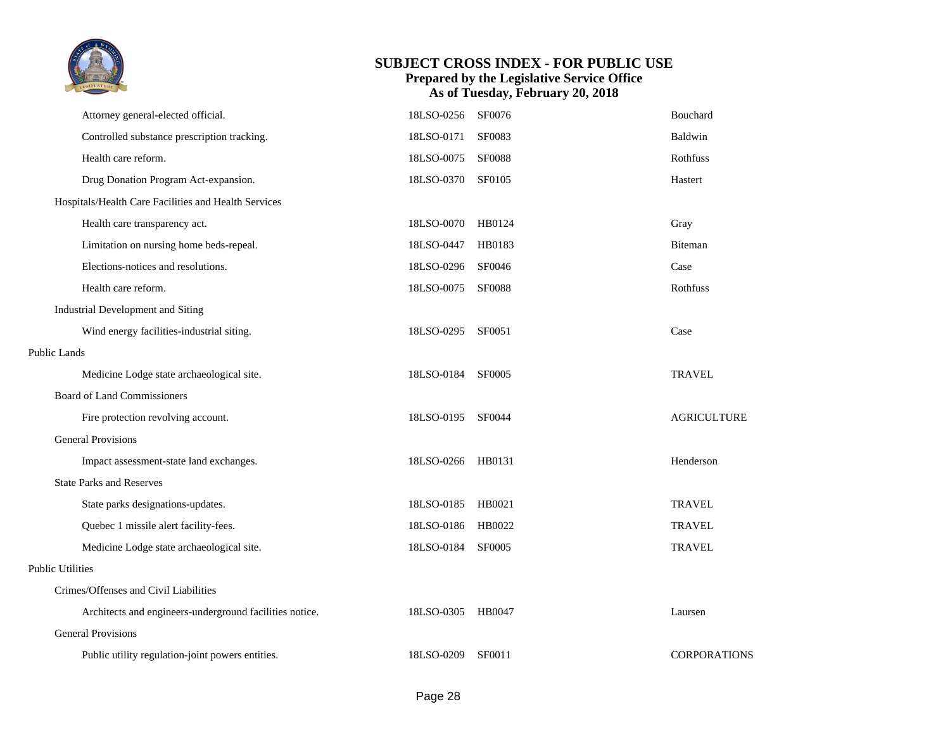

|                         | Attorney general-elected official.                      | 18LSO-0256        | SF0076        | Bouchard            |
|-------------------------|---------------------------------------------------------|-------------------|---------------|---------------------|
|                         | Controlled substance prescription tracking.             | 18LSO-0171        | SF0083        | Baldwin             |
|                         | Health care reform.                                     | 18LSO-0075        | <b>SF0088</b> | Rothfuss            |
|                         | Drug Donation Program Act-expansion.                    | 18LSO-0370 SF0105 |               | Hastert             |
|                         | Hospitals/Health Care Facilities and Health Services    |                   |               |                     |
|                         | Health care transparency act.                           | 18LSO-0070 HB0124 |               | Gray                |
|                         | Limitation on nursing home beds-repeal.                 | 18LSO-0447        | HB0183        | Biteman             |
|                         | Elections-notices and resolutions.                      | 18LSO-0296 SF0046 |               | Case                |
|                         | Health care reform.                                     | 18LSO-0075        | <b>SF0088</b> | Rothfuss            |
|                         | Industrial Development and Siting                       |                   |               |                     |
|                         | Wind energy facilities-industrial siting.               | 18LSO-0295        | SF0051        | Case                |
| <b>Public Lands</b>     |                                                         |                   |               |                     |
|                         | Medicine Lodge state archaeological site.               | 18LSO-0184 SF0005 |               | <b>TRAVEL</b>       |
|                         | <b>Board of Land Commissioners</b>                      |                   |               |                     |
|                         | Fire protection revolving account.                      | 18LSO-0195 SF0044 |               | <b>AGRICULTURE</b>  |
|                         | <b>General Provisions</b>                               |                   |               |                     |
|                         | Impact assessment-state land exchanges.                 | 18LSO-0266 HB0131 |               | Henderson           |
|                         | <b>State Parks and Reserves</b>                         |                   |               |                     |
|                         | State parks designations-updates.                       | 18LSO-0185 HB0021 |               | <b>TRAVEL</b>       |
|                         | Quebec 1 missile alert facility-fees.                   | 18LSO-0186        | HB0022        | <b>TRAVEL</b>       |
|                         | Medicine Lodge state archaeological site.               | 18LSO-0184        | <b>SF0005</b> | <b>TRAVEL</b>       |
| <b>Public Utilities</b> |                                                         |                   |               |                     |
|                         | Crimes/Offenses and Civil Liabilities                   |                   |               |                     |
|                         | Architects and engineers-underground facilities notice. | 18LSO-0305        | HB0047        | Laursen             |
|                         | <b>General Provisions</b>                               |                   |               |                     |
|                         | Public utility regulation-joint powers entities.        | 18LSO-0209        | <b>SF0011</b> | <b>CORPORATIONS</b> |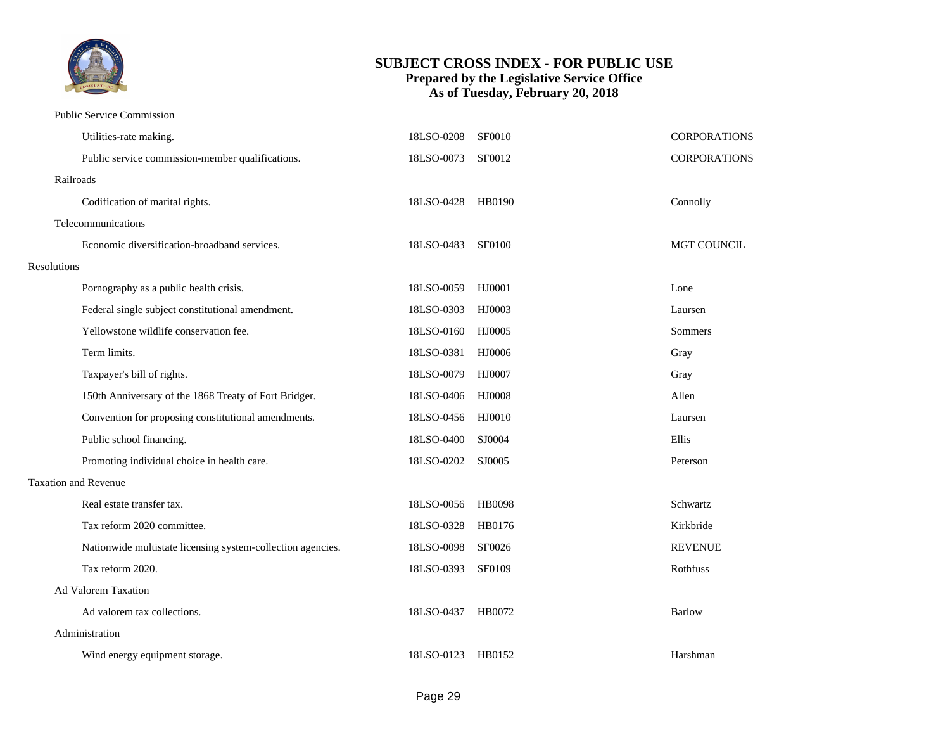

#### Public Service Commission

|                    | Utilities-rate making.                                      | 18LSO-0208        | <b>SF0010</b> | <b>CORPORATIONS</b> |
|--------------------|-------------------------------------------------------------|-------------------|---------------|---------------------|
|                    | Public service commission-member qualifications.            | 18LSO-0073        | SF0012        | CORPORATIONS        |
|                    | Railroads                                                   |                   |               |                     |
|                    | Codification of marital rights.                             | 18LSO-0428 HB0190 |               | Connolly            |
|                    | Telecommunications                                          |                   |               |                     |
|                    | Economic diversification-broadband services.                | 18LSO-0483        | <b>SF0100</b> | MGT COUNCIL         |
| <b>Resolutions</b> |                                                             |                   |               |                     |
|                    | Pornography as a public health crisis.                      | 18LSO-0059        | HJ0001        | Lone                |
|                    | Federal single subject constitutional amendment.            | 18LSO-0303        | HJ0003        | Laursen             |
|                    | Yellowstone wildlife conservation fee.                      | 18LSO-0160        | HJ0005        | Sommers             |
|                    | Term limits.                                                | 18LSO-0381        | HJ0006        | Gray                |
|                    | Taxpayer's bill of rights.                                  | 18LSO-0079        | HJ0007        | Gray                |
|                    | 150th Anniversary of the 1868 Treaty of Fort Bridger.       | 18LSO-0406        | <b>HJ0008</b> | Allen               |
|                    | Convention for proposing constitutional amendments.         | 18LSO-0456        | HJ0010        | Laursen             |
|                    | Public school financing.                                    | 18LSO-0400        | SJ0004        | Ellis               |
|                    | Promoting individual choice in health care.                 | 18LSO-0202        | SJ0005        | Peterson            |
|                    | <b>Taxation and Revenue</b>                                 |                   |               |                     |
|                    | Real estate transfer tax.                                   | 18LSO-0056        | <b>HB0098</b> | Schwartz            |
|                    | Tax reform 2020 committee.                                  | 18LSO-0328        | HB0176        | Kirkbride           |
|                    | Nationwide multistate licensing system-collection agencies. | 18LSO-0098        | SF0026        | <b>REVENUE</b>      |
|                    | Tax reform 2020.                                            | 18LSO-0393        | SF0109        | Rothfuss            |
|                    | Ad Valorem Taxation                                         |                   |               |                     |
|                    | Ad valorem tax collections.                                 | 18LSO-0437        | HB0072        | <b>Barlow</b>       |
|                    | Administration                                              |                   |               |                     |
|                    | Wind energy equipment storage.                              | 18LSO-0123 HB0152 |               | Harshman            |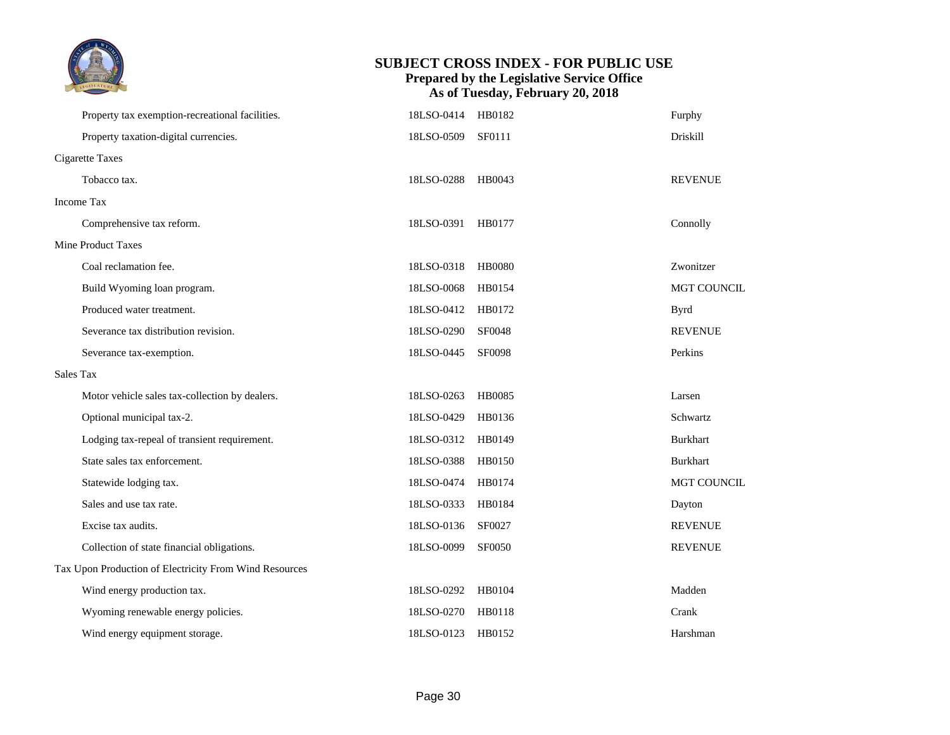

|           | Property tax exemption-recreational facilities.        | 18LSO-0414 | HB0182        | Furphy             |  |  |
|-----------|--------------------------------------------------------|------------|---------------|--------------------|--|--|
|           | Property taxation-digital currencies.                  | 18LSO-0509 | <b>SF0111</b> | Driskill           |  |  |
|           | <b>Cigarette Taxes</b>                                 |            |               |                    |  |  |
|           | Tobacco tax.                                           | 18LSO-0288 | HB0043        | <b>REVENUE</b>     |  |  |
|           | Income Tax                                             |            |               |                    |  |  |
|           | Comprehensive tax reform.                              | 18LSO-0391 | HB0177        | Connolly           |  |  |
|           | Mine Product Taxes                                     |            |               |                    |  |  |
|           | Coal reclamation fee.                                  | 18LSO-0318 | <b>HB0080</b> | Zwonitzer          |  |  |
|           | Build Wyoming loan program.                            | 18LSO-0068 | HB0154        | <b>MGT COUNCIL</b> |  |  |
|           | Produced water treatment.                              | 18LSO-0412 | HB0172        | <b>Byrd</b>        |  |  |
|           | Severance tax distribution revision.                   | 18LSO-0290 | <b>SF0048</b> | <b>REVENUE</b>     |  |  |
|           | Severance tax-exemption.                               | 18LSO-0445 | <b>SF0098</b> | Perkins            |  |  |
| Sales Tax |                                                        |            |               |                    |  |  |
|           | Motor vehicle sales tax-collection by dealers.         | 18LSO-0263 | <b>HB0085</b> | Larsen             |  |  |
|           | Optional municipal tax-2.                              | 18LSO-0429 | HB0136        | Schwartz           |  |  |
|           | Lodging tax-repeal of transient requirement.           | 18LSO-0312 | HB0149        | <b>Burkhart</b>    |  |  |
|           | State sales tax enforcement.                           | 18LSO-0388 | HB0150        | <b>Burkhart</b>    |  |  |
|           | Statewide lodging tax.                                 | 18LSO-0474 | HB0174        | MGT COUNCIL        |  |  |
|           | Sales and use tax rate.                                | 18LSO-0333 | HB0184        | Dayton             |  |  |
|           | Excise tax audits.                                     | 18LSO-0136 | SF0027        | <b>REVENUE</b>     |  |  |
|           | Collection of state financial obligations.             | 18LSO-0099 | SF0050        | <b>REVENUE</b>     |  |  |
|           | Tax Upon Production of Electricity From Wind Resources |            |               |                    |  |  |
|           | Wind energy production tax.                            | 18LSO-0292 | HB0104        | Madden             |  |  |
|           | Wyoming renewable energy policies.                     | 18LSO-0270 | HB0118        | Crank              |  |  |
|           | Wind energy equipment storage.                         | 18LSO-0123 | HB0152        | Harshman           |  |  |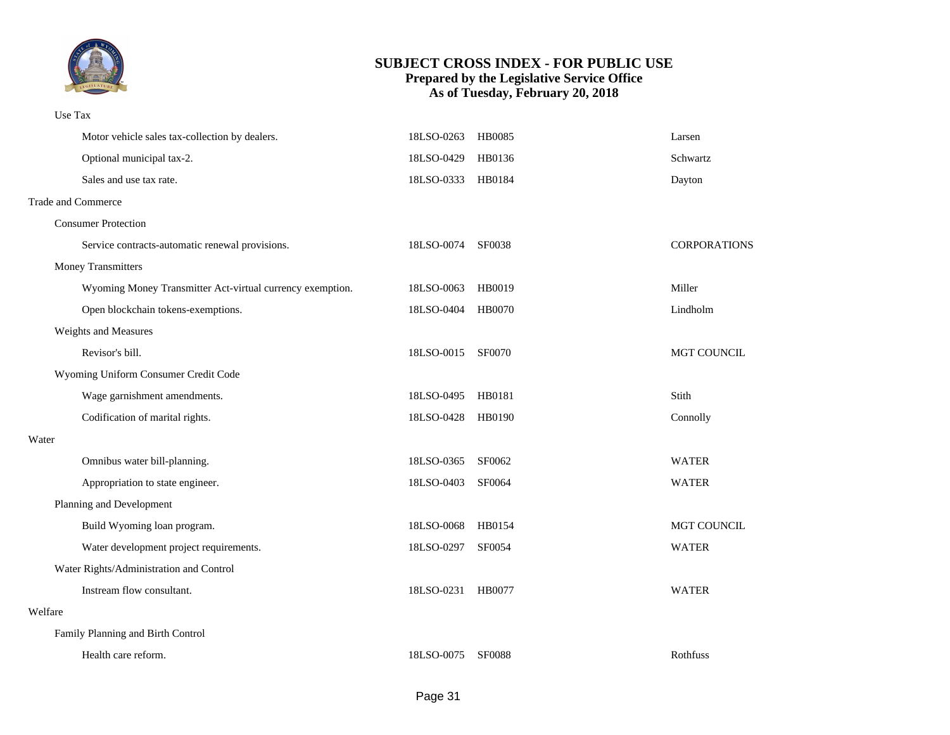

#### Use Tax

|         | Motor vehicle sales tax-collection by dealers.            | 18LSO-0263        | HB0085        | Larsen              |
|---------|-----------------------------------------------------------|-------------------|---------------|---------------------|
|         | Optional municipal tax-2.                                 | 18LSO-0429        | HB0136        | Schwartz            |
|         | Sales and use tax rate.                                   | 18LSO-0333 HB0184 |               | Dayton              |
|         | Trade and Commerce                                        |                   |               |                     |
|         | <b>Consumer Protection</b>                                |                   |               |                     |
|         | Service contracts-automatic renewal provisions.           | 18LSO-0074 SF0038 |               | <b>CORPORATIONS</b> |
|         | <b>Money Transmitters</b>                                 |                   |               |                     |
|         | Wyoming Money Transmitter Act-virtual currency exemption. | 18LSO-0063        | HB0019        | Miller              |
|         | Open blockchain tokens-exemptions.                        | 18LSO-0404        | HB0070        | Lindholm            |
|         | Weights and Measures                                      |                   |               |                     |
|         | Revisor's bill.                                           | 18LSO-0015        | <b>SF0070</b> | MGT COUNCIL         |
|         | Wyoming Uniform Consumer Credit Code                      |                   |               |                     |
|         | Wage garnishment amendments.                              | 18LSO-0495        | HB0181        | Stith               |
|         | Codification of marital rights.                           | 18LSO-0428        | HB0190        | Connolly            |
| Water   |                                                           |                   |               |                     |
|         | Omnibus water bill-planning.                              | 18LSO-0365        | SF0062        | <b>WATER</b>        |
|         | Appropriation to state engineer.                          | 18LSO-0403        | <b>SF0064</b> | <b>WATER</b>        |
|         | Planning and Development                                  |                   |               |                     |
|         | Build Wyoming loan program.                               | 18LSO-0068        | HB0154        | MGT COUNCIL         |
|         | Water development project requirements.                   | 18LSO-0297        | <b>SF0054</b> | <b>WATER</b>        |
|         | Water Rights/Administration and Control                   |                   |               |                     |
|         | Instream flow consultant.                                 | 18LSO-0231        | HB0077        | <b>WATER</b>        |
| Welfare |                                                           |                   |               |                     |
|         | Family Planning and Birth Control                         |                   |               |                     |
|         | Health care reform.                                       | 18LSO-0075        | <b>SF0088</b> | Rothfuss            |
|         |                                                           |                   |               |                     |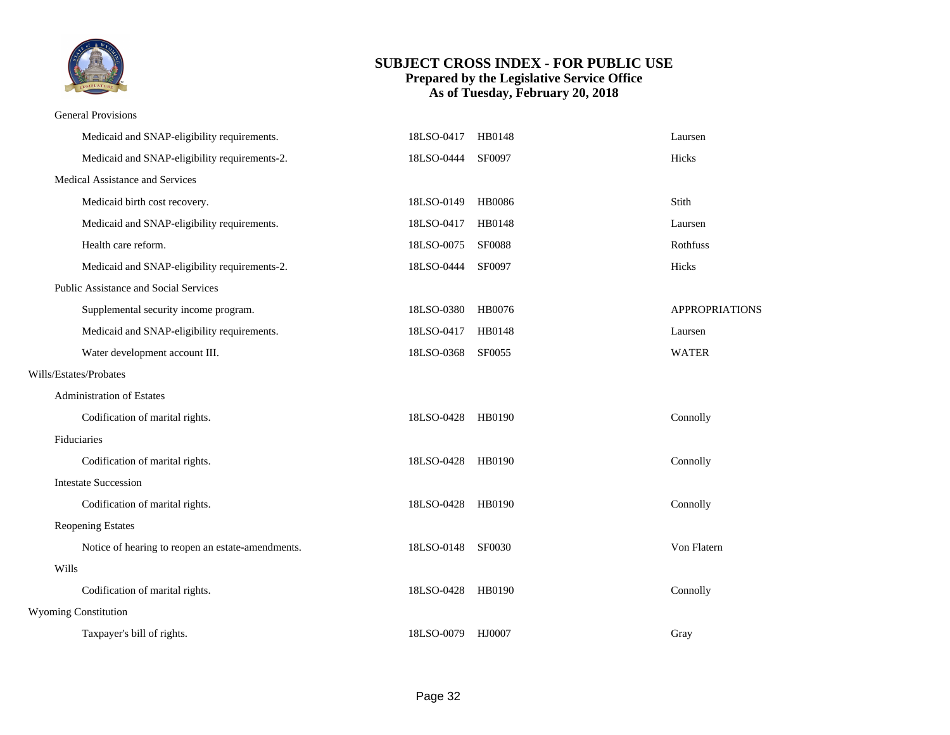

#### General Provisions

|       | Medicaid and SNAP-eligibility requirements.       | 18LSO-0417        | HB0148        | Laursen               |
|-------|---------------------------------------------------|-------------------|---------------|-----------------------|
|       | Medicaid and SNAP-eligibility requirements-2.     | 18LSO-0444        | SF0097        | Hicks                 |
|       | Medical Assistance and Services                   |                   |               |                       |
|       | Medicaid birth cost recovery.                     | 18LSO-0149        | <b>HB0086</b> | Stith                 |
|       | Medicaid and SNAP-eligibility requirements.       | 18LSO-0417        | HB0148        | Laursen               |
|       | Health care reform.                               | 18LSO-0075        | <b>SF0088</b> | Rothfuss              |
|       | Medicaid and SNAP-eligibility requirements-2.     | 18LSO-0444        | SF0097        | Hicks                 |
|       | Public Assistance and Social Services             |                   |               |                       |
|       | Supplemental security income program.             | 18LSO-0380        | HB0076        | <b>APPROPRIATIONS</b> |
|       | Medicaid and SNAP-eligibility requirements.       | 18LSO-0417        | HB0148        | Laursen               |
|       | Water development account III.                    | 18LSO-0368        | SF0055        | <b>WATER</b>          |
|       | Wills/Estates/Probates                            |                   |               |                       |
|       | <b>Administration of Estates</b>                  |                   |               |                       |
|       | Codification of marital rights.                   | 18LSO-0428        | HB0190        | Connolly              |
|       | Fiduciaries                                       |                   |               |                       |
|       | Codification of marital rights.                   | 18LSO-0428 HB0190 |               | Connolly              |
|       | <b>Intestate Succession</b>                       |                   |               |                       |
|       | Codification of marital rights.                   | 18LSO-0428        | HB0190        | Connolly              |
|       | <b>Reopening Estates</b>                          |                   |               |                       |
|       | Notice of hearing to reopen an estate-amendments. | 18LSO-0148        | <b>SF0030</b> | Von Flatern           |
| Wills |                                                   |                   |               |                       |
|       | Codification of marital rights.                   | 18LSO-0428        | HB0190        | Connolly              |
|       | <b>Wyoming Constitution</b>                       |                   |               |                       |
|       | Taxpayer's bill of rights.                        | 18LSO-0079        | HJ0007        | Gray                  |
|       |                                                   |                   |               |                       |